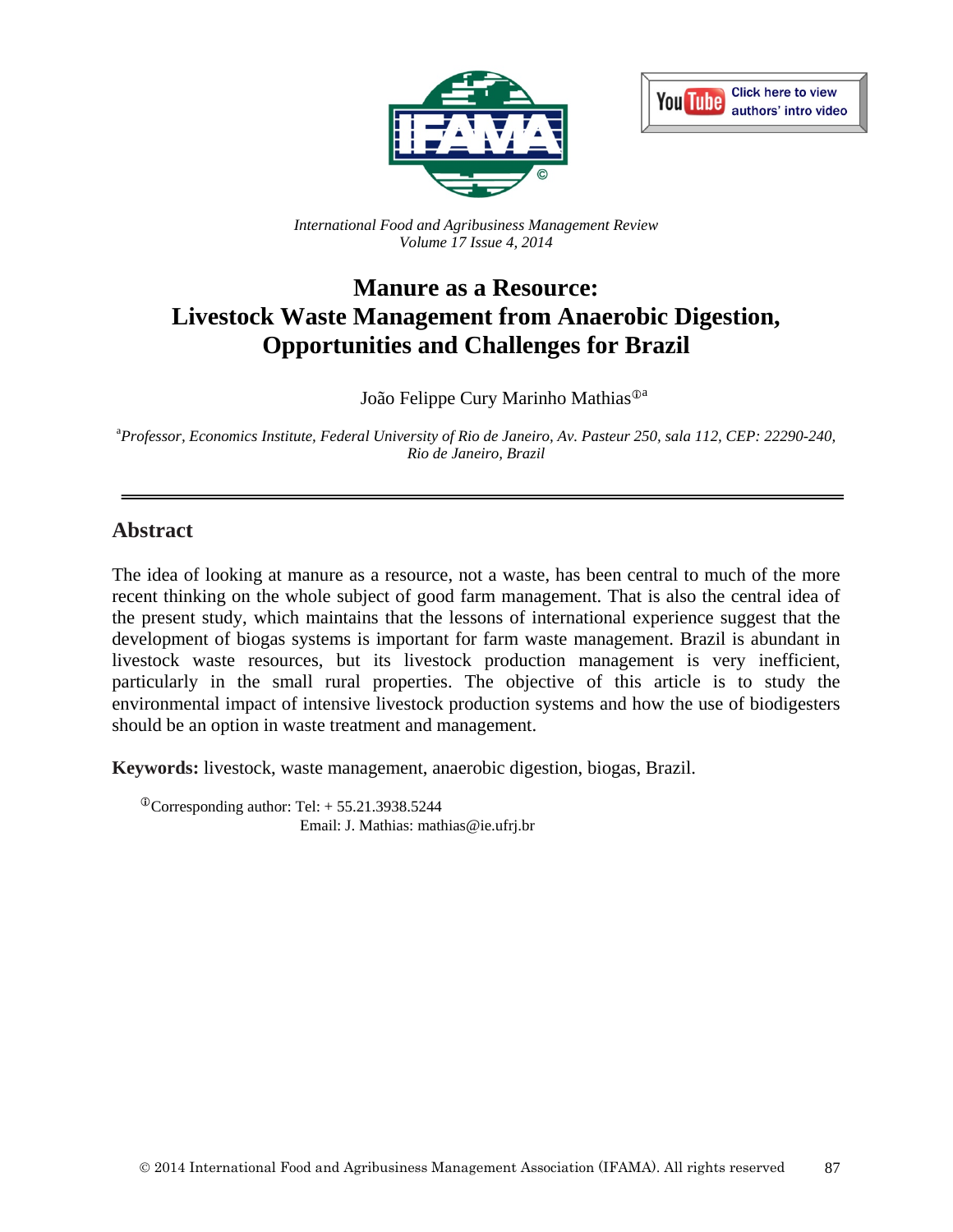



*International Food and Agribusiness Management Review Volume 17 Issue 4, 2014*

# **Manure as a Resource: Livestock Waste Management from Anaerobic Digestion, Opportunities and Challenges for Brazil**

João Felippe Cury Marinho Mathias<sup> $\mathbb{O}^a$ </sup>

a *Professor, Economics Institute, Federal University of Rio de Janeiro, Av. Pasteur 250, sala 112, CEP: 22290-240, Rio de Janeiro, Brazil*

### **Abstract**

The idea of looking at manure as a resource, not a waste, has been central to much of the more recent thinking on the whole subject of good farm management. That is also the central idea of the present study, which maintains that the lessons of international experience suggest that the development of biogas systems is important for farm waste management. Brazil is abundant in livestock waste resources, but its livestock production management is very inefficient, particularly in the small rural properties. The objective of this article is to study the environmental impact of intensive livestock production systems and how the use of biodigesters should be an option in waste treatment and management.

**Keywords:** livestock, waste management, anaerobic digestion, biogas, Brazil.

 $^{\circ}$ Corresponding author: Tel: + 55.21.3938.5244 Email: J. Mathias: mathias@ie.ufrj.br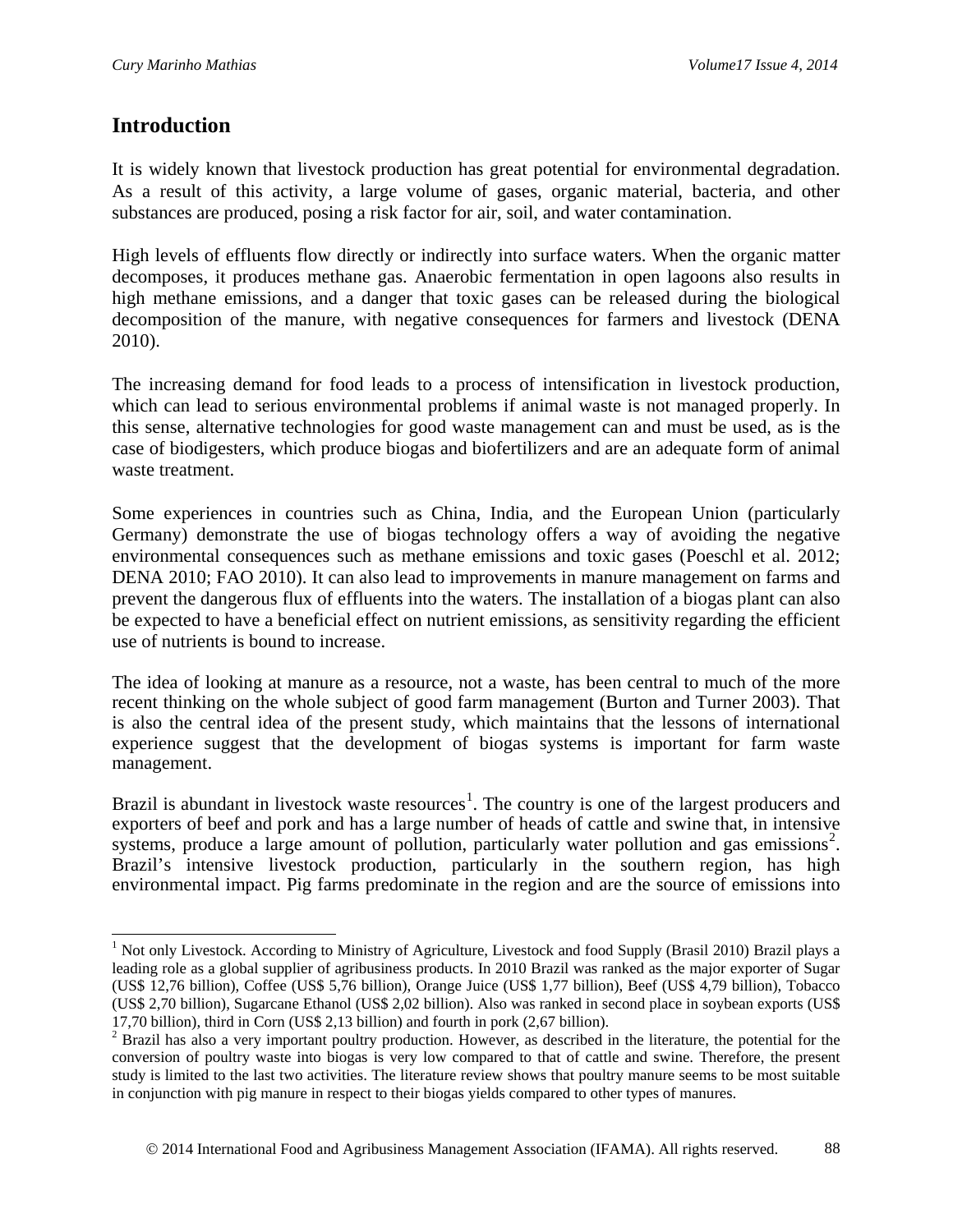### **Introduction**

 $\overline{a}$ 

It is widely known that livestock production has great potential for environmental degradation. As a result of this activity, a large volume of gases, organic material, bacteria, and other substances are produced, posing a risk factor for air, soil, and water contamination.

High levels of effluents flow directly or indirectly into surface waters. When the organic matter decomposes, it produces methane gas. Anaerobic fermentation in open lagoons also results in high methane emissions, and a danger that toxic gases can be released during the biological decomposition of the manure, with negative consequences for farmers and livestock (DENA 2010).

The increasing demand for food leads to a process of intensification in livestock production, which can lead to serious environmental problems if animal waste is not managed properly. In this sense, alternative technologies for good waste management can and must be used, as is the case of biodigesters, which produce biogas and biofertilizers and are an adequate form of animal waste treatment.

Some experiences in countries such as China, India, and the European Union (particularly Germany) demonstrate the use of biogas technology offers a way of avoiding the negative environmental consequences such as methane emissions and toxic gases (Poeschl et al. 2012; DENA 2010; FAO 2010). It can also lead to improvements in manure management on farms and prevent the dangerous flux of effluents into the waters. The installation of a biogas plant can also be expected to have a beneficial effect on nutrient emissions, as sensitivity regarding the efficient use of nutrients is bound to increase.

The idea of looking at manure as a resource, not a waste, has been central to much of the more recent thinking on the whole subject of good farm management (Burton and Turner 2003). That is also the central idea of the present study, which maintains that the lessons of international experience suggest that the development of biogas systems is important for farm waste management.

Brazil is abundant in livestock waste resources<sup>[1](#page-1-0)</sup>. The country is one of the largest producers and exporters of beef and pork and has a large number of heads of cattle and swine that, in intensive systems, produce a large amount of pollution, particularly water pollution and gas emissions<sup>[2](#page-1-1)</sup>. Brazil's intensive livestock production, particularly in the southern region, has high environmental impact. Pig farms predominate in the region and are the source of emissions into

<span id="page-1-0"></span><sup>&</sup>lt;sup>1</sup> Not only Livestock. According to Ministry of Agriculture, Livestock and food Supply (Brasil 2010) Brazil plays a leading role as a global supplier of agribusiness products. In 2010 Brazil was ranked as the major exporter of Sugar (US\$ 12,76 billion), Coffee (US\$ 5,76 billion), Orange Juice (US\$ 1,77 billion), Beef (US\$ 4,79 billion), Tobacco (US\$ 2,70 billion), Sugarcane Ethanol (US\$ 2,02 billion). Also was ranked in second place in soybean exports (US\$ 17,70 billion), third in Corn (US\$ 2,13 billion) and fourth in pork (2,67 billion).

<span id="page-1-1"></span><sup>&</sup>lt;sup>2</sup> Brazil has also a very important poultry production. However, as described in the literature, the potential for the conversion of poultry waste into biogas is very low compared to that of cattle and swine. Therefore, the present study is limited to the last two activities. The literature review shows that poultry manure seems to be most suitable in conjunction with pig manure in respect to their biogas yields compared to other types of manures.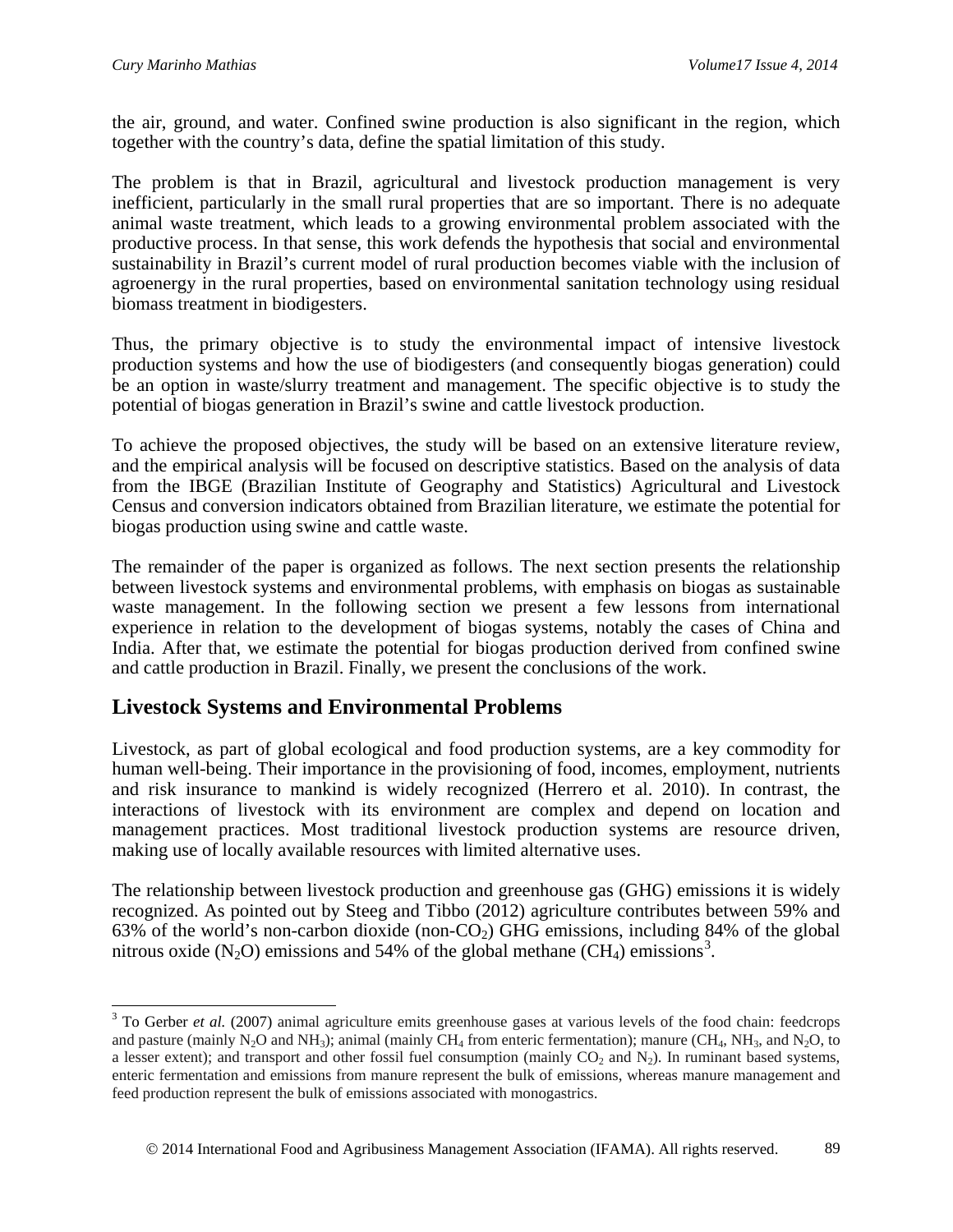$\overline{a}$ 

the air, ground, and water. Confined swine production is also significant in the region, which together with the country's data, define the spatial limitation of this study.

The problem is that in Brazil, agricultural and livestock production management is very inefficient, particularly in the small rural properties that are so important. There is no adequate animal waste treatment, which leads to a growing environmental problem associated with the productive process. In that sense, this work defends the hypothesis that social and environmental sustainability in Brazil's current model of rural production becomes viable with the inclusion of agroenergy in the rural properties, based on environmental sanitation technology using residual biomass treatment in biodigesters.

Thus, the primary objective is to study the environmental impact of intensive livestock production systems and how the use of biodigesters (and consequently biogas generation) could be an option in waste/slurry treatment and management. The specific objective is to study the potential of biogas generation in Brazil's swine and cattle livestock production.

To achieve the proposed objectives, the study will be based on an extensive literature review, and the empirical analysis will be focused on descriptive statistics. Based on the analysis of data from the IBGE (Brazilian Institute of Geography and Statistics) Agricultural and Livestock Census and conversion indicators obtained from Brazilian literature, we estimate the potential for biogas production using swine and cattle waste.

The remainder of the paper is organized as follows. The next section presents the relationship between livestock systems and environmental problems, with emphasis on biogas as sustainable waste management. In the following section we present a few lessons from international experience in relation to the development of biogas systems, notably the cases of China and India. After that, we estimate the potential for biogas production derived from confined swine and cattle production in Brazil. Finally, we present the conclusions of the work.

## **Livestock Systems and Environmental Problems**

Livestock, as part of global ecological and food production systems, are a key commodity for human well-being. Their importance in the provisioning of food, incomes, employment, nutrients and risk insurance to mankind is widely recognized (Herrero et al. 2010). In contrast, the interactions of livestock with its environment are complex and depend on location and management practices. Most traditional livestock production systems are resource driven, making use of locally available resources with limited alternative uses.

The relationship between livestock production and greenhouse gas (GHG) emissions it is widely recognized. As pointed out by Steeg and Tibbo (2012) agriculture contributes between 59% and 63% of the world's non-carbon dioxide (non- $CO<sub>2</sub>$ ) GHG emissions, including 84% of the global nitrous oxide (N<sub>2</sub>O) emissions and 54% of the global methane (CH<sub>4</sub>) emissions<sup>[3](#page-2-0)</sup>.

<span id="page-2-0"></span><sup>&</sup>lt;sup>3</sup> To Gerber *et al.* (2007) animal agriculture emits greenhouse gases at various levels of the food chain: feedcrops and pasture (mainly N<sub>2</sub>O and NH<sub>3</sub>); animal (mainly CH<sub>4</sub> from enteric fermentation); manure (CH<sub>4</sub>, NH<sub>3</sub>, and N<sub>2</sub>O, to a lesser extent); and transport and other fossil fuel consumption (mainly  $CO<sub>2</sub>$  and  $N<sub>2</sub>$ ). In ruminant based systems, enteric fermentation and emissions from manure represent the bulk of emissions, whereas manure management and feed production represent the bulk of emissions associated with monogastrics.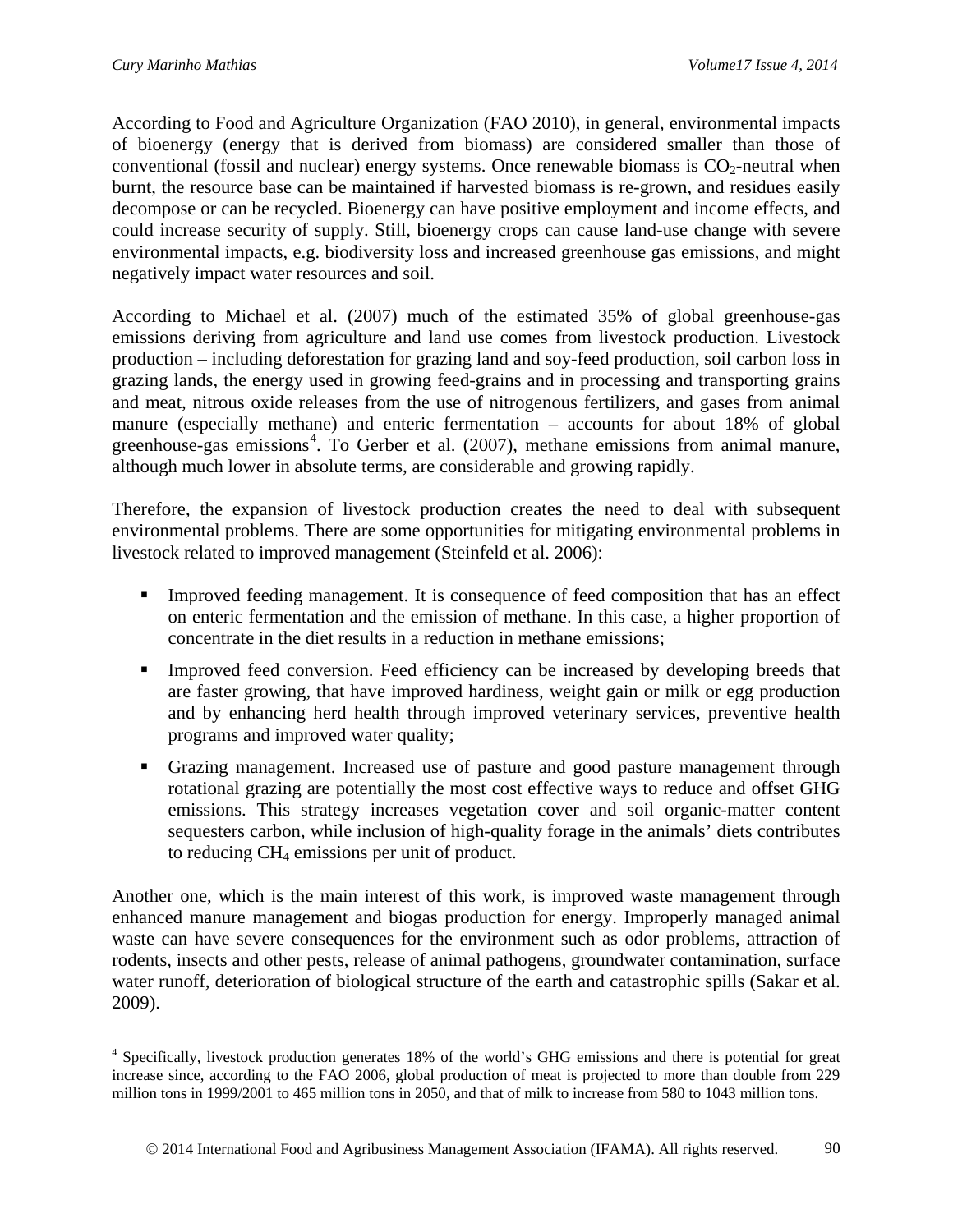According to Food and Agriculture Organization (FAO 2010), in general, environmental impacts of bioenergy (energy that is derived from biomass) are considered smaller than those of conventional (fossil and nuclear) energy systems. Once renewable biomass is  $CO<sub>2</sub>$ -neutral when burnt, the resource base can be maintained if harvested biomass is re-grown, and residues easily decompose or can be recycled. Bioenergy can have positive employment and income effects, and could increase security of supply. Still, bioenergy crops can cause land-use change with severe environmental impacts, e.g. biodiversity loss and increased greenhouse gas emissions, and might negatively impact water resources and soil.

According to Michael et al. (2007) much of the estimated 35% of global greenhouse-gas emissions deriving from agriculture and land use comes from livestock production. Livestock production – including deforestation for grazing land and soy-feed production, soil carbon loss in grazing lands, the energy used in growing feed-grains and in processing and transporting grains and meat, nitrous oxide releases from the use of nitrogenous fertilizers, and gases from animal manure (especially methane) and enteric fermentation – accounts for about 18% of global greenhouse-gas emissions<sup>[4](#page-3-0)</sup>. To Gerber et al. (2007), methane emissions from animal manure, although much lower in absolute terms, are considerable and growing rapidly.

Therefore, the expansion of livestock production creates the need to deal with subsequent environmental problems. There are some opportunities for mitigating environmental problems in livestock related to improved management (Steinfeld et al. 2006):

- Improved feeding management. It is consequence of feed composition that has an effect on enteric fermentation and the emission of methane. In this case, a higher proportion of concentrate in the diet results in a reduction in methane emissions;
- Improved feed conversion. Feed efficiency can be increased by developing breeds that are faster growing, that have improved hardiness, weight gain or milk or egg production and by enhancing herd health through improved veterinary services, preventive health programs and improved water quality;
- Grazing management. Increased use of pasture and good pasture management through rotational grazing are potentially the most cost effective ways to reduce and offset GHG emissions. This strategy increases vegetation cover and soil organic-matter content sequesters carbon, while inclusion of high-quality forage in the animals' diets contributes to reducing CH4 emissions per unit of product.

Another one, which is the main interest of this work, is improved waste management through enhanced manure management and biogas production for energy. Improperly managed animal waste can have severe consequences for the environment such as odor problems, attraction of rodents, insects and other pests, release of animal pathogens, groundwater contamination, surface water runoff, deterioration of biological structure of the earth and catastrophic spills (Sakar et al. 2009).

<span id="page-3-0"></span><sup>&</sup>lt;sup>4</sup> Specifically, livestock production generates 18% of the world's GHG emissions and there is potential for great increase since, according to the FAO 2006, global production of meat is projected to more than double from 229 million tons in 1999/2001 to 465 million tons in 2050, and that of milk to increase from 580 to 1043 million tons.  $\overline{a}$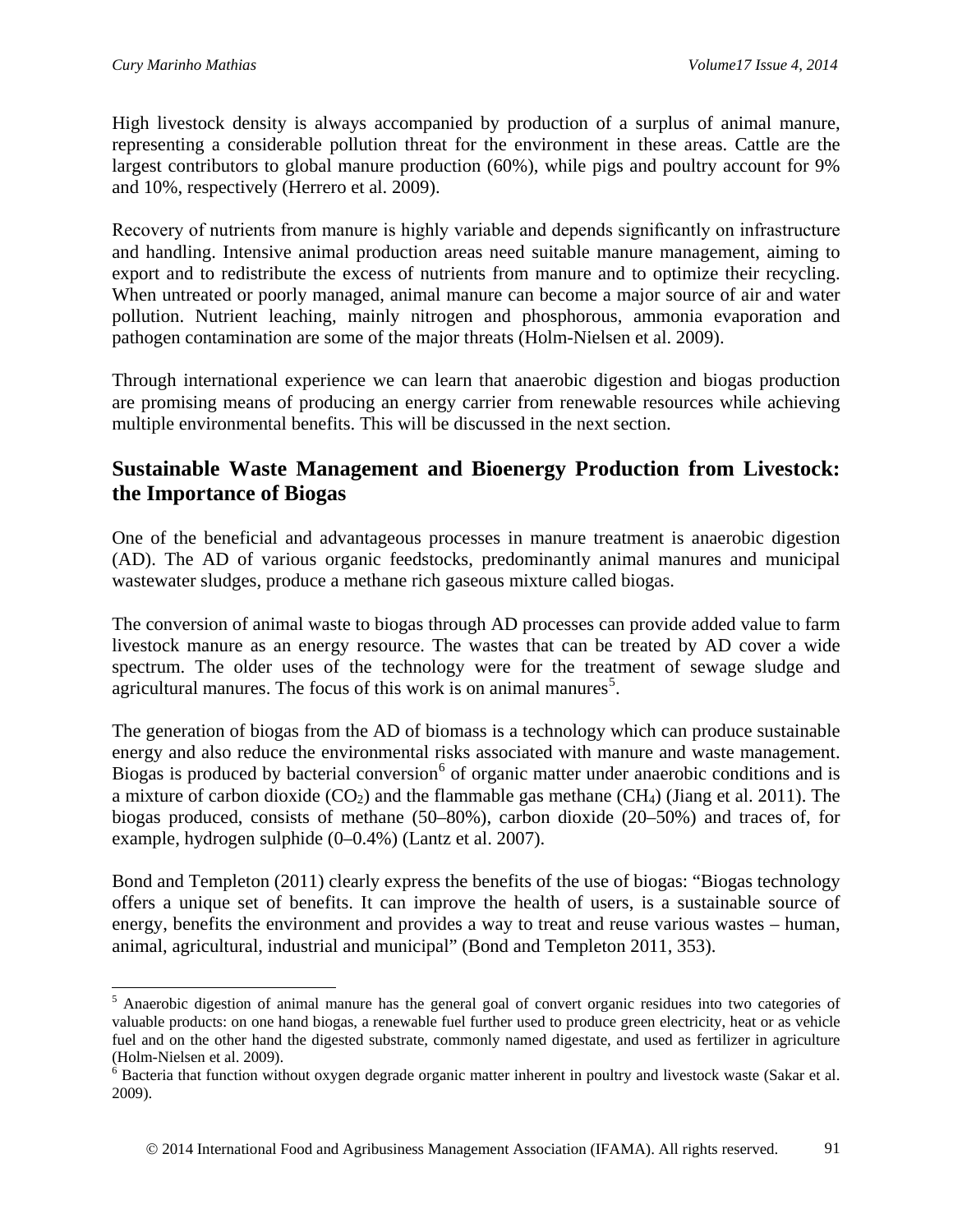High livestock density is always accompanied by production of a surplus of animal manure, representing a considerable pollution threat for the environment in these areas. Cattle are the largest contributors to global manure production (60%), while pigs and poultry account for 9% and 10%, respectively (Herrero et al. 2009).

Recovery of nutrients from manure is highly variable and depends significantly on infrastructure and handling. Intensive animal production areas need suitable manure management, aiming to export and to redistribute the excess of nutrients from manure and to optimize their recycling. When untreated or poorly managed, animal manure can become a major source of air and water pollution. Nutrient leaching, mainly nitrogen and phosphorous, ammonia evaporation and pathogen contamination are some of the major threats (Holm-Nielsen et al. 2009).

Through international experience we can learn that anaerobic digestion and biogas production are promising means of producing an energy carrier from renewable resources while achieving multiple environmental benefits. This will be discussed in the next section.

## **Sustainable Waste Management and Bioenergy Production from Livestock: the Importance of Biogas**

One of the beneficial and advantageous processes in manure treatment is anaerobic digestion (AD). The AD of various organic feedstocks, predominantly animal manures and municipal wastewater sludges, produce a methane rich gaseous mixture called biogas.

The conversion of animal waste to biogas through AD processes can provide added value to farm livestock manure as an energy resource. The wastes that can be treated by AD cover a wide spectrum. The older uses of the technology were for the treatment of sewage sludge and agricultural manures. The focus of this work is on animal manures<sup>[5](#page-4-0)</sup>.

The generation of biogas from the AD of biomass is a technology which can produce sustainable energy and also reduce the environmental risks associated with manure and waste management. Biogas is produced by bacterial conversion  $6$  of organic matter under anaerobic conditions and is a mixture of carbon dioxide  $(CO_2)$  and the flammable gas methane  $(CH_4)$  (Jiang et al. 2011). The biogas produced, consists of methane (50–80%), carbon dioxide (20–50%) and traces of, for example, hydrogen sulphide (0–0.4%) (Lantz et al. 2007).

Bond and Templeton (2011) clearly express the benefits of the use of biogas: "Biogas technology offers a unique set of benefits. It can improve the health of users, is a sustainable source of energy, benefits the environment and provides a way to treat and reuse various wastes – human, animal, agricultural, industrial and municipal" (Bond and Templeton 2011, 353).

<span id="page-4-0"></span><sup>&</sup>lt;sup>5</sup> Anaerobic digestion of animal manure has the general goal of convert organic residues into two categories of valuable products: on one hand biogas, a renewable fuel further used to produce green electricity, heat or as vehicle fuel and on the other hand the digested substrate, commonly named digestate, and used as fertilizer in agriculture  $\overline{a}$ 

<span id="page-4-1"></span><sup>(</sup>Holm-Nielsen et al. 2009).<br><sup>6</sup> Bacteria that function without oxygen degrade organic matter inherent in poultry and livestock waste (Sakar et al. 2009).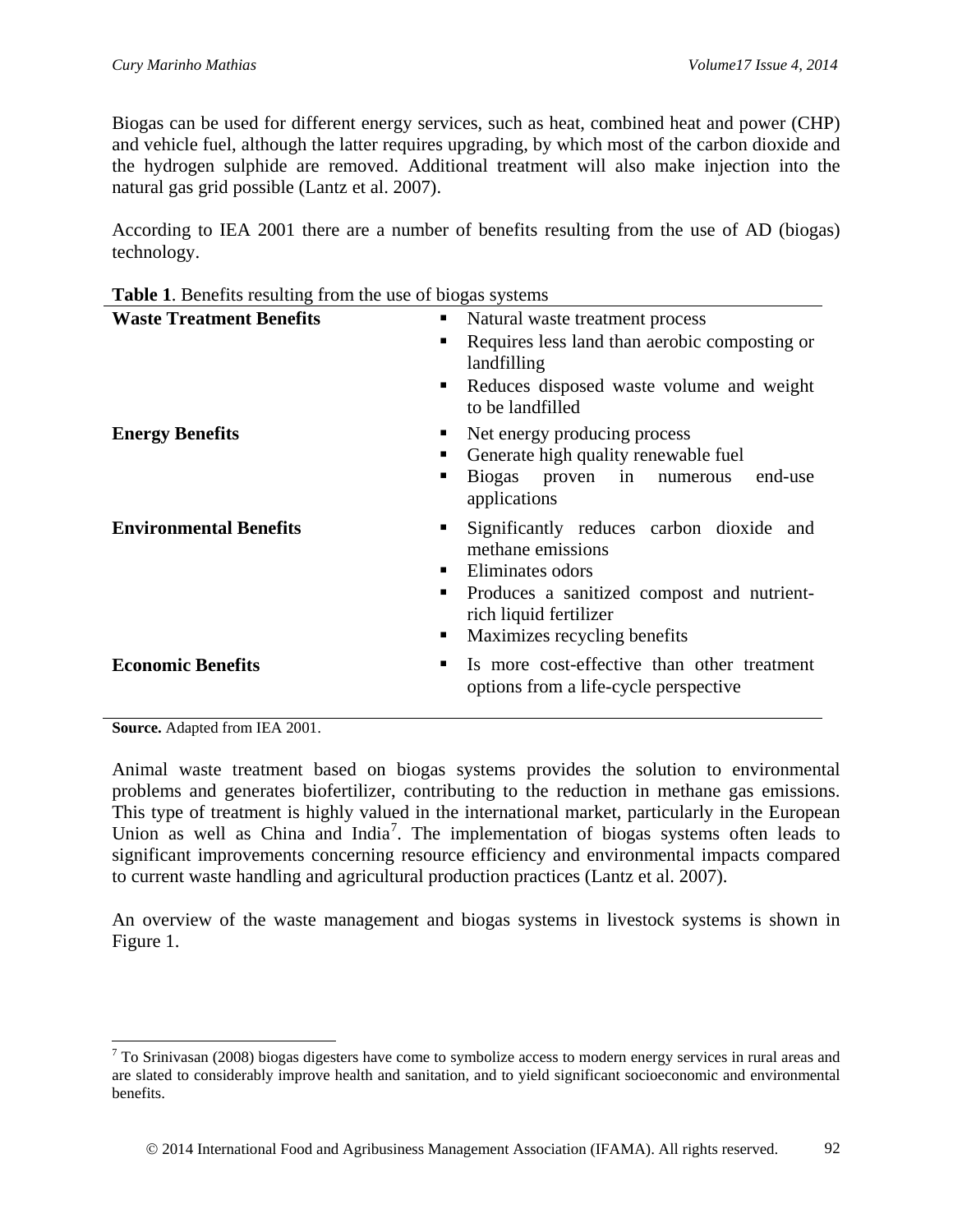Biogas can be used for different energy services, such as heat, combined heat and power (CHP) and vehicle fuel, although the latter requires upgrading, by which most of the carbon dioxide and the hydrogen sulphide are removed. Additional treatment will also make injection into the natural gas grid possible (Lantz et al. 2007).

According to IEA 2001 there are a number of benefits resulting from the use of AD (biogas) technology.

| <b>Table 1.</b> Deficitly resulting from the use of plogas systems |                                                                                                                                                                                                               |
|--------------------------------------------------------------------|---------------------------------------------------------------------------------------------------------------------------------------------------------------------------------------------------------------|
| <b>Waste Treatment Benefits</b>                                    | Natural waste treatment process<br>п                                                                                                                                                                          |
|                                                                    | Requires less land than aerobic composting or<br>٠<br>landfilling                                                                                                                                             |
|                                                                    | Reduces disposed waste volume and weight<br>п<br>to be landfilled                                                                                                                                             |
| <b>Energy Benefits</b>                                             | Net energy producing process<br>٠<br>Generate high quality renewable fuel<br>٠<br>Biogas proven in numerous<br>end-use<br>п<br>applications                                                                   |
| <b>Environmental Benefits</b>                                      | Significantly reduces carbon dioxide and<br>٠<br>methane emissions<br>Eliminates odors<br>٠<br>Produces a sanitized compost and nutrient-<br>п<br>rich liquid fertilizer<br>Maximizes recycling benefits<br>٠ |
| <b>Economic Benefits</b>                                           | Is more cost-effective than other treatment<br>٠<br>options from a life-cycle perspective                                                                                                                     |

**Table 1**. Benefits resulting from the use of biogas systems

**Source.** Adapted from IEA 2001.

 $\overline{a}$ 

Animal waste treatment based on biogas systems provides the solution to environmental problems and generates biofertilizer, contributing to the reduction in methane gas emissions. This type of treatment is highly valued in the international market, particularly in the European Union as well as China and India<sup>[7](#page-5-0)</sup>. The implementation of biogas systems often leads to significant improvements concerning resource efficiency and environmental impacts compared to current waste handling and agricultural production practices (Lantz et al. 2007).

An overview of the waste management and biogas systems in livestock systems is shown in Figure 1.

<span id="page-5-0"></span> $7$  To Srinivasan (2008) biogas digesters have come to symbolize access to modern energy services in rural areas and are slated to considerably improve health and sanitation, and to yield significant socioeconomic and environmental benefits.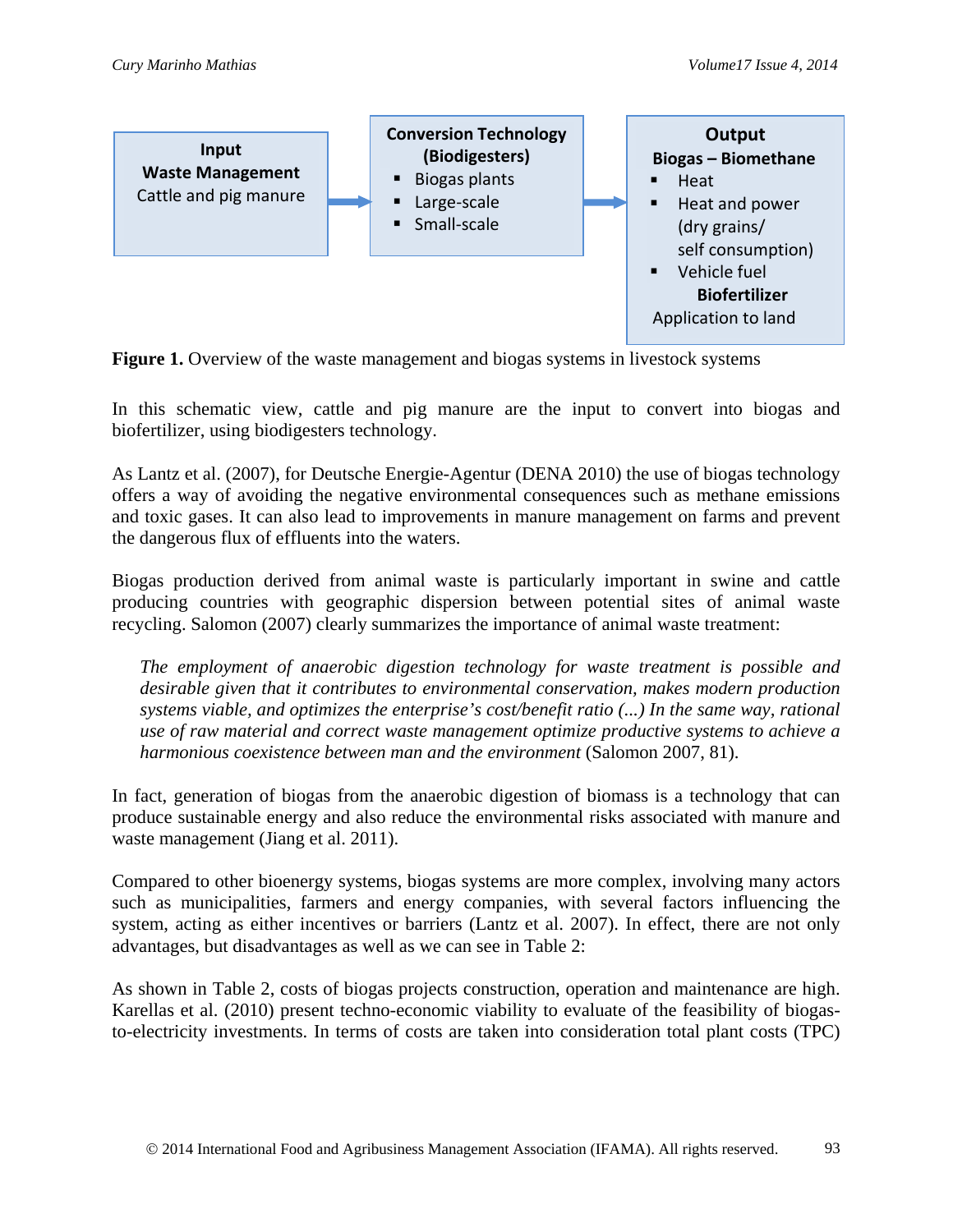

**Figure 1.** Overview of the waste management and biogas systems in livestock systems

In this schematic view, cattle and pig manure are the input to convert into biogas and biofertilizer, using biodigesters technology.

As Lantz et al. (2007), for Deutsche Energie-Agentur (DENA 2010) the use of biogas technology offers a way of avoiding the negative environmental consequences such as methane emissions and toxic gases. It can also lead to improvements in manure management on farms and prevent the dangerous flux of effluents into the waters.

Biogas production derived from animal waste is particularly important in swine and cattle producing countries with geographic dispersion between potential sites of animal waste recycling. Salomon (2007) clearly summarizes the importance of animal waste treatment:

*The employment of anaerobic digestion technology for waste treatment is possible and desirable given that it contributes to environmental conservation, makes modern production systems viable, and optimizes the enterprise's cost/benefit ratio (...) In the same way, rational use of raw material and correct waste management optimize productive systems to achieve a harmonious coexistence between man and the environment* (Salomon 2007, 81).

In fact, generation of biogas from the anaerobic digestion of biomass is a technology that can produce sustainable energy and also reduce the environmental risks associated with manure and waste management (Jiang et al. 2011).

Compared to other bioenergy systems, biogas systems are more complex, involving many actors such as municipalities, farmers and energy companies, with several factors influencing the system, acting as either incentives or barriers (Lantz et al. 2007). In effect, there are not only advantages, but disadvantages as well as we can see in Table 2:

As shown in Table 2, costs of biogas projects construction, operation and maintenance are high. Karellas et al. (2010) present techno-economic viability to evaluate of the feasibility of biogasto-electricity investments. In terms of costs are taken into consideration total plant costs (TPC)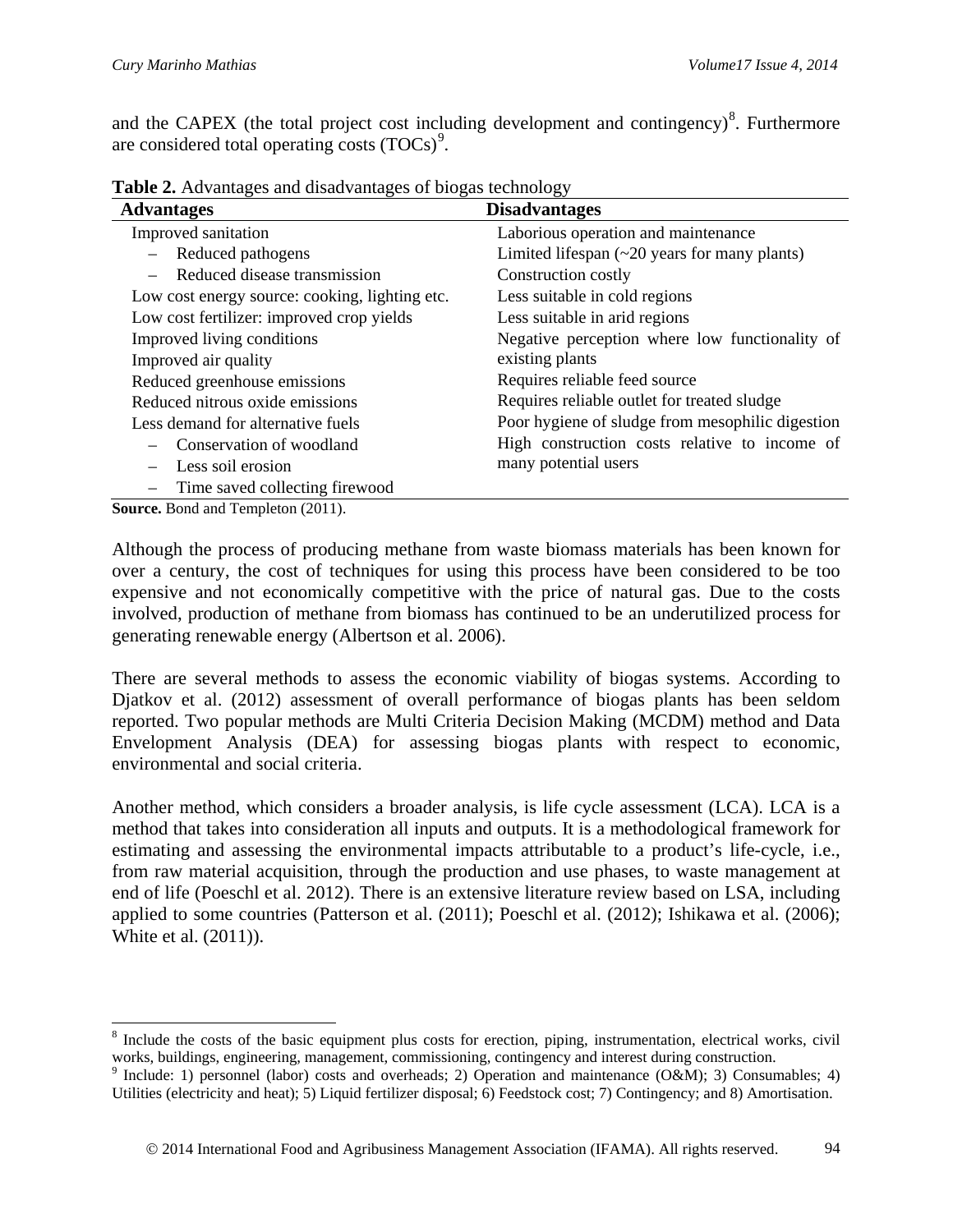and the CAPEX (the total project cost including development and contingency) $8$ . Furthermore are considered total operating costs  $(TOCs)^9$  $(TOCs)^9$ .

| <b>Advantages</b>                              | <b>Disadvantages</b>                               |
|------------------------------------------------|----------------------------------------------------|
| Improved sanitation                            | Laborious operation and maintenance                |
| Reduced pathogens                              | Limited lifespan $(\sim 20$ years for many plants) |
| Reduced disease transmission                   | Construction costly                                |
| Low cost energy source: cooking, lighting etc. | Less suitable in cold regions                      |
| Low cost fertilizer: improved crop yields      | Less suitable in arid regions                      |
| Improved living conditions                     | Negative perception where low functionality of     |
| Improved air quality                           | existing plants                                    |
| Reduced greenhouse emissions                   | Requires reliable feed source                      |
| Reduced nitrous oxide emissions                | Requires reliable outlet for treated sludge        |
| Less demand for alternative fuels              | Poor hygiene of sludge from mesophilic digestion   |
| Conservation of woodland                       | High construction costs relative to income of      |
| Less soil erosion                              | many potential users                               |
| Time saved collecting firewood                 |                                                    |
| $\mathbf{Source}$ Road and Tomplaton $(2011)$  |                                                    |

**Table 2.** Advantages and disadvantages of biogas technology

**Source.** Bond and Templeton (2011).

 $\overline{a}$ 

Although the process of producing methane from waste biomass materials has been known for over a century, the cost of techniques for using this process have been considered to be too expensive and not economically competitive with the price of natural gas. Due to the costs involved, production of methane from biomass has continued to be an underutilized process for generating renewable energy (Albertson et al. 2006).

There are several methods to assess the economic viability of biogas systems. According to Djatkov et al. (2012) assessment of overall performance of biogas plants has been seldom reported. Two popular methods are Multi Criteria Decision Making (MCDM) method and Data Envelopment Analysis (DEA) for assessing biogas plants with respect to economic, environmental and social criteria.

Another method, which considers a broader analysis, is life cycle assessment (LCA). LCA is a method that takes into consideration all inputs and outputs. It is a methodological framework for estimating and assessing the environmental impacts attributable to a product's life-cycle, i.e., from raw material acquisition, through the production and use phases, to waste management at end of life (Poeschl et al. 2012). There is an extensive literature review based on LSA, including applied to some countries (Patterson et al. (2011); Poeschl et al. (2012); Ishikawa et al. (2006); White et al. (2011)).

<span id="page-7-0"></span> $8$  Include the costs of the basic equipment plus costs for erection, piping, instrumentation, electrical works, civil works, buildings, engineering, management, commissioning, contingency and interest during construction.<br><sup>9</sup> Include: 1) personnel (labor) costs and overheads; 2) Operation and maintenance (O&M); 3) Consumables; 4)

<span id="page-7-1"></span>Utilities (electricity and heat); 5) Liquid fertilizer disposal; 6) Feedstock cost; 7) Contingency; and 8) Amortisation.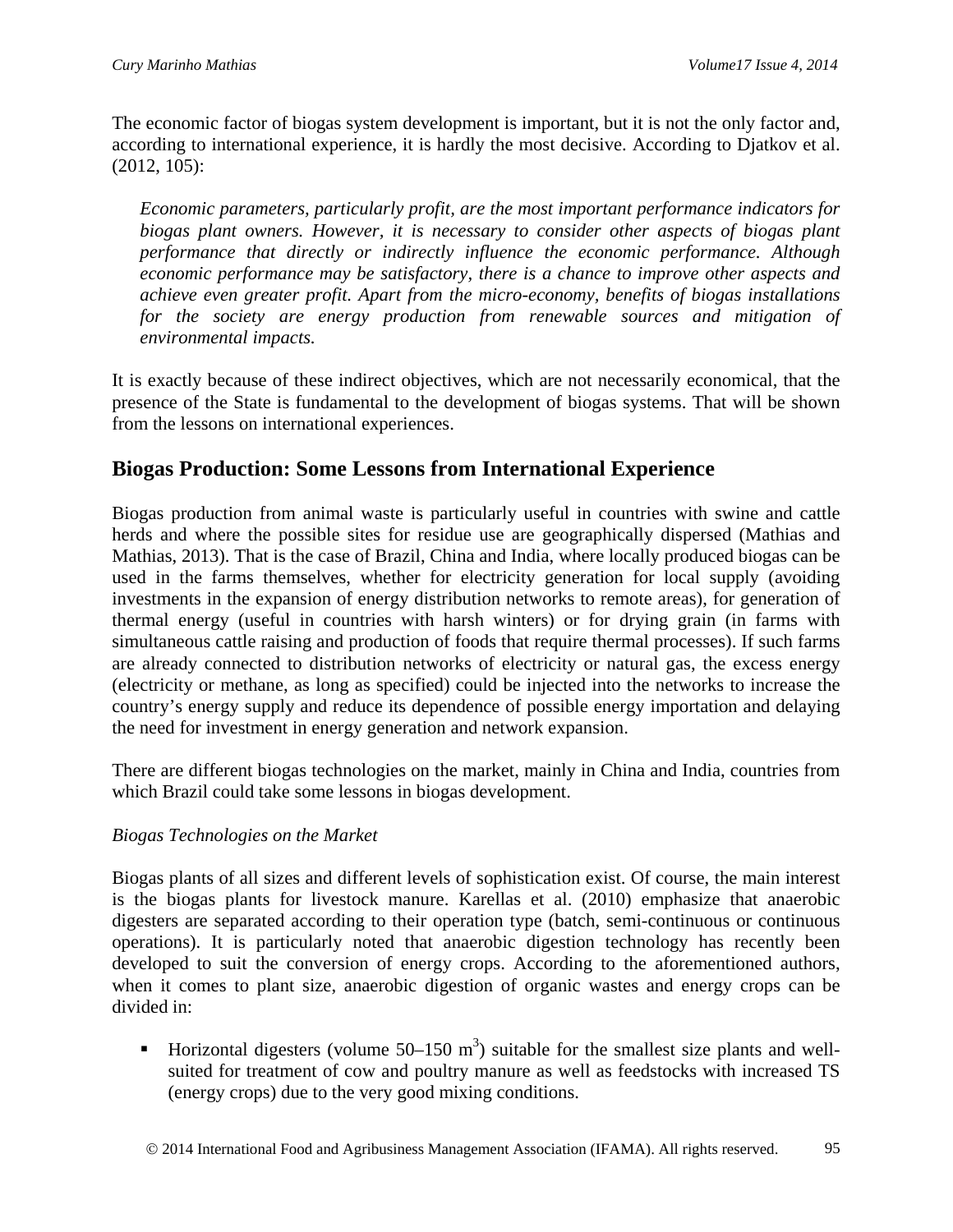The economic factor of biogas system development is important, but it is not the only factor and, according to international experience, it is hardly the most decisive. According to Djatkov et al. (2012, 105):

*Economic parameters, particularly profit, are the most important performance indicators for biogas plant owners. However, it is necessary to consider other aspects of biogas plant performance that directly or indirectly influence the economic performance. Although economic performance may be satisfactory, there is a chance to improve other aspects and achieve even greater profit. Apart from the micro-economy, benefits of biogas installations for the society are energy production from renewable sources and mitigation of environmental impacts.*

It is exactly because of these indirect objectives, which are not necessarily economical, that the presence of the State is fundamental to the development of biogas systems. That will be shown from the lessons on international experiences.

## **Biogas Production: Some Lessons from International Experience**

Biogas production from animal waste is particularly useful in countries with swine and cattle herds and where the possible sites for residue use are geographically dispersed (Mathias and Mathias, 2013). That is the case of Brazil, China and India, where locally produced biogas can be used in the farms themselves, whether for electricity generation for local supply (avoiding investments in the expansion of energy distribution networks to remote areas), for generation of thermal energy (useful in countries with harsh winters) or for drying grain (in farms with simultaneous cattle raising and production of foods that require thermal processes). If such farms are already connected to distribution networks of electricity or natural gas, the excess energy (electricity or methane, as long as specified) could be injected into the networks to increase the country's energy supply and reduce its dependence of possible energy importation and delaying the need for investment in energy generation and network expansion.

There are different biogas technologies on the market, mainly in China and India, countries from which Brazil could take some lessons in biogas development.

#### *Biogas Technologies on the Market*

Biogas plants of all sizes and different levels of sophistication exist. Of course, the main interest is the biogas plants for livestock manure. Karellas et al. (2010) emphasize that anaerobic digesters are separated according to their operation type (batch, semi-continuous or continuous operations). It is particularly noted that anaerobic digestion technology has recently been developed to suit the conversion of energy crops. According to the aforementioned authors, when it comes to plant size, anaerobic digestion of organic wastes and energy crops can be divided in:

Horizontal digesters (volume  $50-150$  m<sup>3</sup>) suitable for the smallest size plants and wellsuited for treatment of cow and poultry manure as well as feedstocks with increased TS (energy crops) due to the very good mixing conditions.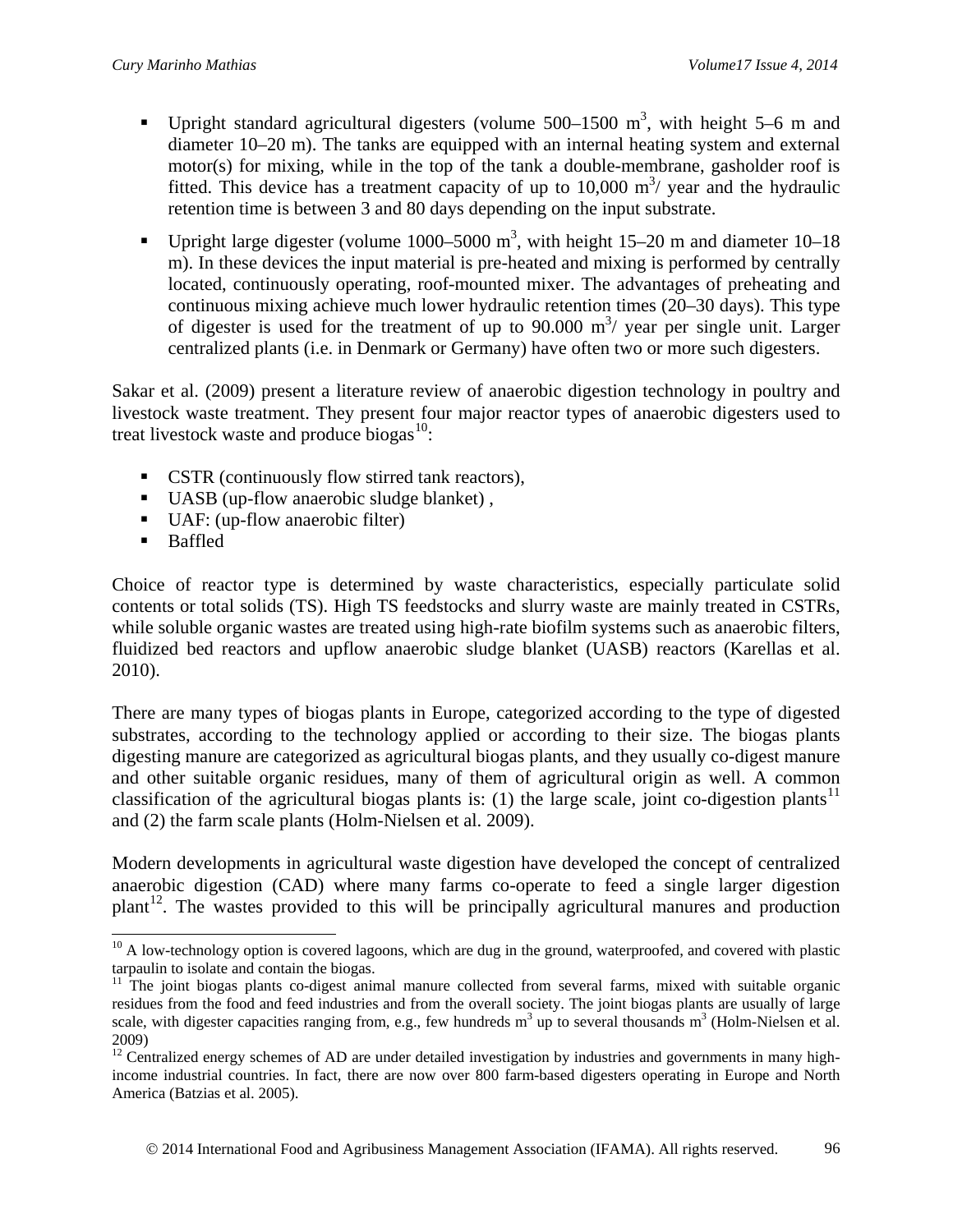- Upright standard agricultural digesters (volume  $500-1500$  m<sup>3</sup>, with height 5–6 m and diameter 10–20 m). The tanks are equipped with an internal heating system and external motor(s) for mixing, while in the top of the tank a double-membrane, gasholder roof is fitted. This device has a treatment capacity of up to  $10,000$  m<sup>3</sup>/ year and the hydraulic retention time is between 3 and 80 days depending on the input substrate.
- Upright large digester (volume 1000–5000 m<sup>3</sup>, with height 15–20 m and diameter 10–18 m). In these devices the input material is pre-heated and mixing is performed by centrally located, continuously operating, roof-mounted mixer. The advantages of preheating and continuous mixing achieve much lower hydraulic retention times (20–30 days). This type of digester is used for the treatment of up to  $90.000 \text{ m}^3$  year per single unit. Larger centralized plants (i.e. in Denmark or Germany) have often two or more such digesters.

Sakar et al. (2009) present a literature review of anaerobic digestion technology in poultry and livestock waste treatment. They present four major reactor types of anaerobic digesters used to treat livestock waste and produce biogas $10$ :

- CSTR (continuously flow stirred tank reactors),
- UASB (up-flow anaerobic sludge blanket),
- UAF: (up-flow anaerobic filter)
- **Baffled**

Choice of reactor type is determined by waste characteristics, especially particulate solid contents or total solids (TS). High TS feedstocks and slurry waste are mainly treated in CSTRs, while soluble organic wastes are treated using high-rate biofilm systems such as anaerobic filters, fluidized bed reactors and upflow anaerobic sludge blanket (UASB) reactors (Karellas et al. 2010).

There are many types of biogas plants in Europe, categorized according to the type of digested substrates, according to the technology applied or according to their size. The biogas plants digesting manure are categorized as agricultural biogas plants, and they usually co-digest manure and other suitable organic residues, many of them of agricultural origin as well. A common classification of the agricultural biogas plants is: (1) the large scale, joint co-digestion plants<sup>[11](#page-9-1)</sup> and (2) the farm scale plants (Holm-Nielsen et al. 2009).

Modern developments in agricultural waste digestion have developed the concept of centralized anaerobic digestion (CAD) where many farms co-operate to feed a single larger digestion  $plant<sup>12</sup>$ . The wastes provided to this will be principally agricultural manures and production

<span id="page-9-0"></span><sup>&</sup>lt;sup>10</sup> A low-technology option is covered lagoons, which are dug in the ground, waterproofed, and covered with plastic tarpaulin to isolate and contain the biogas.  $\overline{a}$ 

<span id="page-9-1"></span><sup>&</sup>lt;sup>11</sup> The joint biogas plants co-digest animal manure collected from several farms, mixed with suitable organic residues from the food and feed industries and from the overall society. The joint biogas plants are usually of large scale, with digester capacities ranging from, e.g., few hundreds  $m^3$  up to several thousands  $m^3$  (Holm-Nielsen et al. 2009)

<span id="page-9-2"></span> $12^{\text{12}}$  Centralized energy schemes of AD are under detailed investigation by industries and governments in many highincome industrial countries. In fact, there are now over 800 farm-based digesters operating in Europe and North America (Batzias et al. 2005).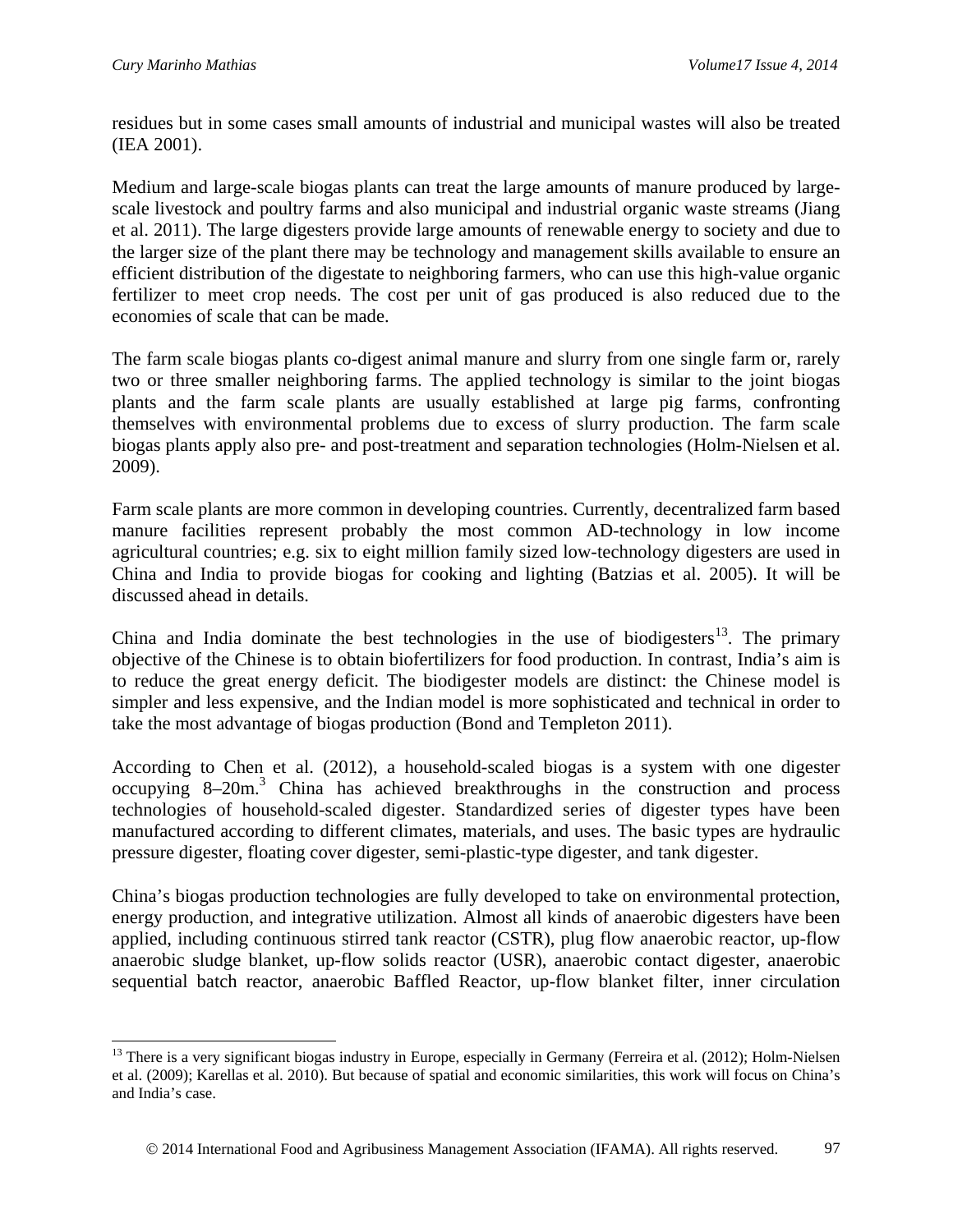$\overline{a}$ 

residues but in some cases small amounts of industrial and municipal wastes will also be treated (IEA 2001).

Medium and large-scale biogas plants can treat the large amounts of manure produced by largescale livestock and poultry farms and also municipal and industrial organic waste streams (Jiang et al. 2011). The large digesters provide large amounts of renewable energy to society and due to the larger size of the plant there may be technology and management skills available to ensure an efficient distribution of the digestate to neighboring farmers, who can use this high-value organic fertilizer to meet crop needs. The cost per unit of gas produced is also reduced due to the economies of scale that can be made.

The farm scale biogas plants co-digest animal manure and slurry from one single farm or, rarely two or three smaller neighboring farms. The applied technology is similar to the joint biogas plants and the farm scale plants are usually established at large pig farms, confronting themselves with environmental problems due to excess of slurry production. The farm scale biogas plants apply also pre- and post-treatment and separation technologies (Holm-Nielsen et al. 2009).

Farm scale plants are more common in developing countries. Currently, decentralized farm based manure facilities represent probably the most common AD-technology in low income agricultural countries; e.g. six to eight million family sized low-technology digesters are used in China and India to provide biogas for cooking and lighting (Batzias et al. 2005). It will be discussed ahead in details.

China and India dominate the best technologies in the use of biodigesters<sup>13</sup>. The primary objective of the Chinese is to obtain biofertilizers for food production. In contrast, India's aim is to reduce the great energy deficit. The biodigester models are distinct: the Chinese model is simpler and less expensive, and the Indian model is more sophisticated and technical in order to take the most advantage of biogas production (Bond and Templeton 2011).

According to Chen et al. (2012), a household-scaled biogas is a system with one digester occupying 8–20m. <sup>3</sup> China has achieved breakthroughs in the construction and process technologies of household-scaled digester. Standardized series of digester types have been manufactured according to different climates, materials, and uses. The basic types are hydraulic pressure digester, floating cover digester, semi-plastic-type digester, and tank digester.

China's biogas production technologies are fully developed to take on environmental protection, energy production, and integrative utilization. Almost all kinds of anaerobic digesters have been applied, including continuous stirred tank reactor (CSTR), plug flow anaerobic reactor, up-flow anaerobic sludge blanket, up-flow solids reactor (USR), anaerobic contact digester, anaerobic sequential batch reactor, anaerobic Baffled Reactor, up-flow blanket filter, inner circulation

<span id="page-10-0"></span> $<sup>13</sup>$  There is a very significant biogas industry in Europe, especially in Germany (Ferreira et al. (2012); Holm-Nielsen</sup> et al. (2009); Karellas et al. 2010). But because of spatial and economic similarities, this work will focus on China's and India's case.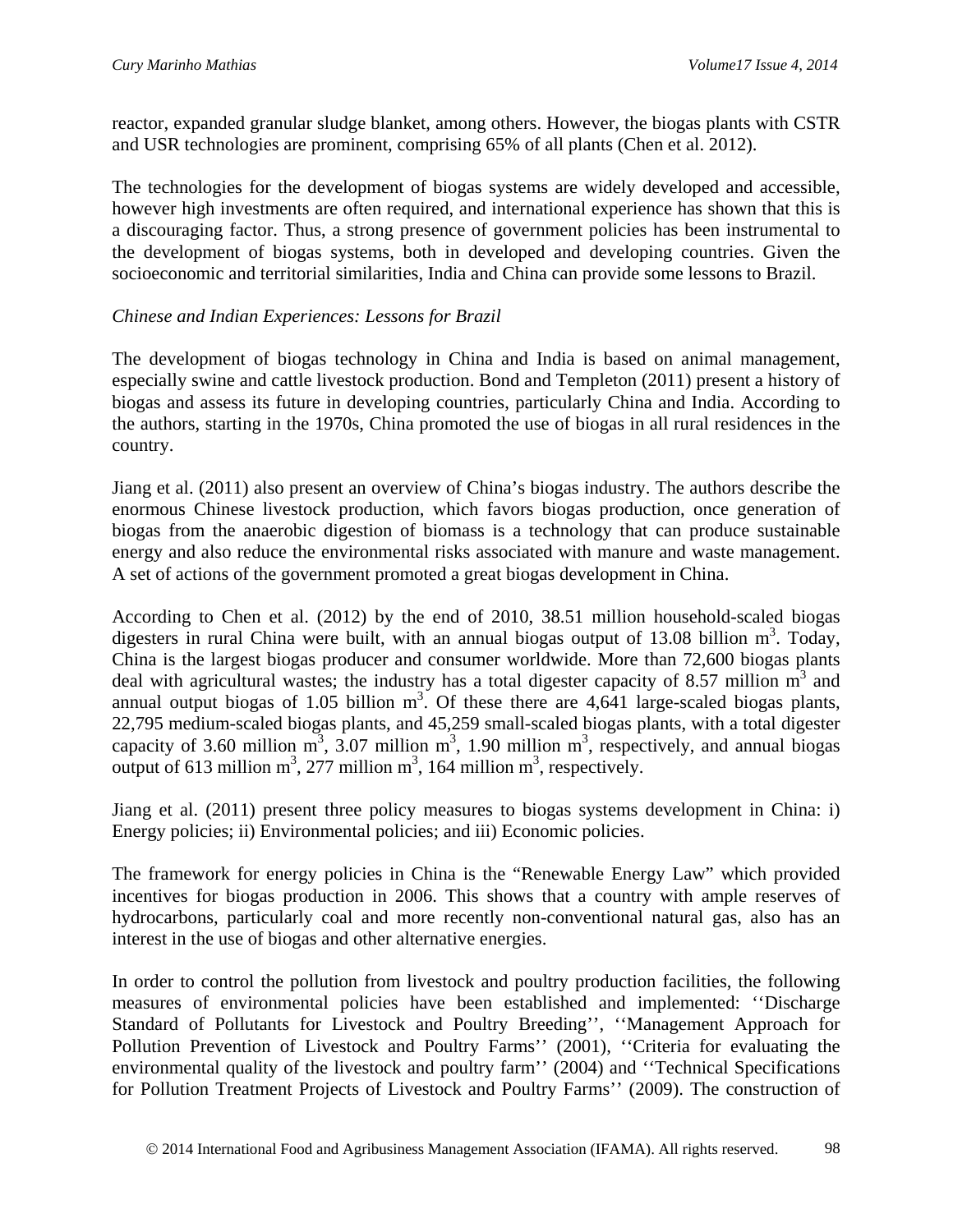reactor, expanded granular sludge blanket, among others. However, the biogas plants with CSTR and USR technologies are prominent, comprising 65% of all plants (Chen et al. 2012).

The technologies for the development of biogas systems are widely developed and accessible, however high investments are often required, and international experience has shown that this is a discouraging factor. Thus, a strong presence of government policies has been instrumental to the development of biogas systems, both in developed and developing countries. Given the socioeconomic and territorial similarities, India and China can provide some lessons to Brazil.

#### *Chinese and Indian Experiences: Lessons for Brazil*

The development of biogas technology in China and India is based on animal management, especially swine and cattle livestock production. Bond and Templeton (2011) present a history of biogas and assess its future in developing countries, particularly China and India. According to the authors, starting in the 1970s, China promoted the use of biogas in all rural residences in the country.

Jiang et al. (2011) also present an overview of China's biogas industry. The authors describe the enormous Chinese livestock production, which favors biogas production, once generation of biogas from the anaerobic digestion of biomass is a technology that can produce sustainable energy and also reduce the environmental risks associated with manure and waste management. A set of actions of the government promoted a great biogas development in China.

According to Chen et al. (2012) by the end of 2010, 38.51 million household-scaled biogas digesters in rural China were built, with an annual biogas output of 13.08 billion  $m^3$ . Today, China is the largest biogas producer and consumer worldwide. More than 72,600 biogas plants deal with agricultural wastes; the industry has a total digester capacity of 8.57 million  $m<sup>3</sup>$  and annual output biogas of 1.05 billion  $m^3$ . Of these there are 4,641 large-scaled biogas plants, 22,795 medium-scaled biogas plants, and 45,259 small-scaled biogas plants, with a total digester capacity of 3.60 million  $m^3$ , 3.07 million  $m^3$ , 1.90 million  $m^3$ , respectively, and annual biogas output of 613 million m<sup>3</sup>, 277 million m<sup>3</sup>, 164 million m<sup>3</sup>, respectively.

Jiang et al. (2011) present three policy measures to biogas systems development in China: i) Energy policies; ii) Environmental policies; and iii) Economic policies.

The framework for energy policies in China is the "Renewable Energy Law" which provided incentives for biogas production in 2006. This shows that a country with ample reserves of hydrocarbons, particularly coal and more recently non-conventional natural gas, also has an interest in the use of biogas and other alternative energies.

In order to control the pollution from livestock and poultry production facilities, the following measures of environmental policies have been established and implemented: ''Discharge Standard of Pollutants for Livestock and Poultry Breeding'', ''Management Approach for Pollution Prevention of Livestock and Poultry Farms'' (2001), ''Criteria for evaluating the environmental quality of the livestock and poultry farm'' (2004) and ''Technical Specifications for Pollution Treatment Projects of Livestock and Poultry Farms'' (2009). The construction of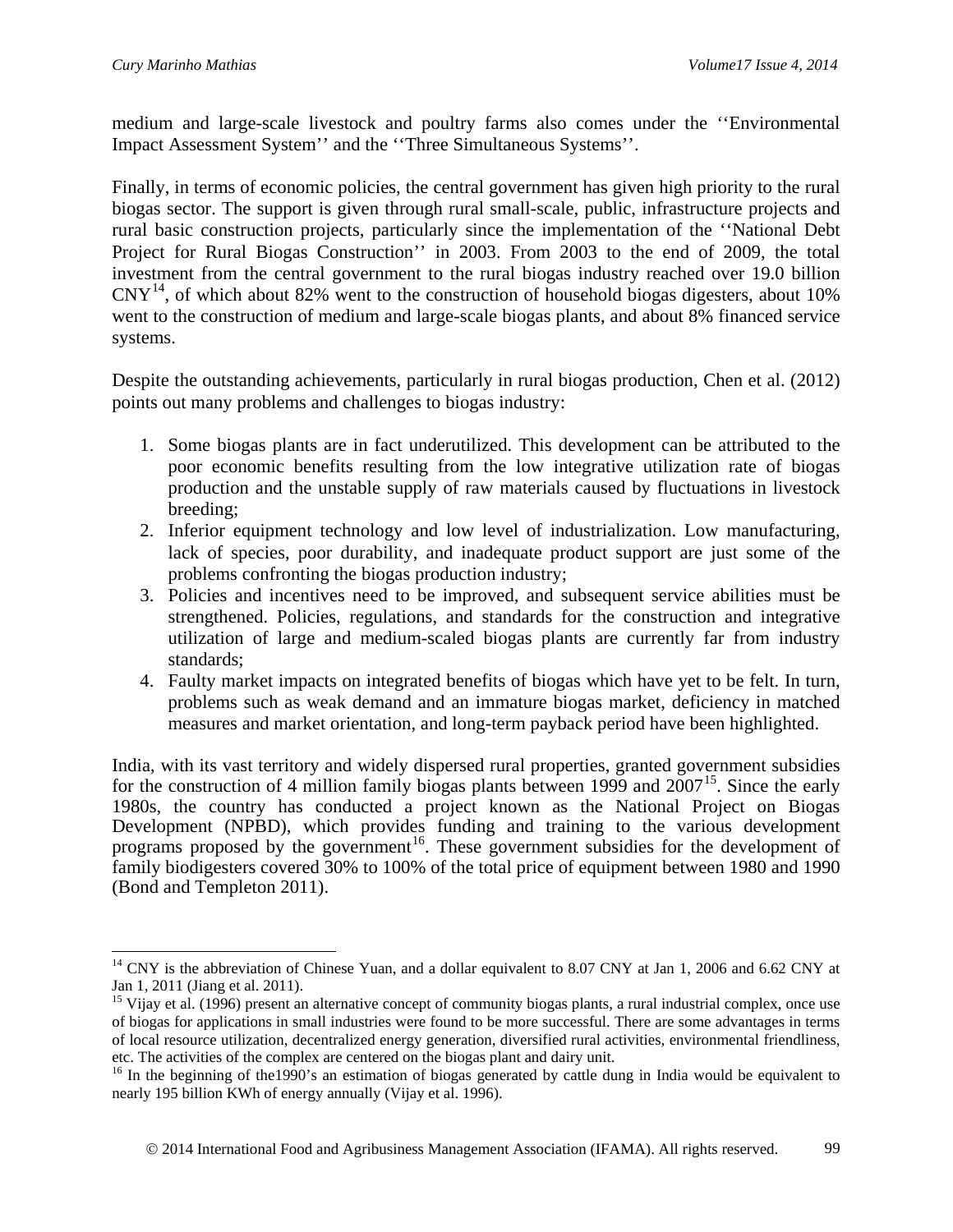medium and large-scale livestock and poultry farms also comes under the ''Environmental Impact Assessment System'' and the ''Three Simultaneous Systems''.

Finally, in terms of economic policies, the central government has given high priority to the rural biogas sector. The support is given through rural small-scale, public, infrastructure projects and rural basic construction projects, particularly since the implementation of the ''National Debt Project for Rural Biogas Construction'' in 2003. From 2003 to the end of 2009, the total investment from the central government to the rural biogas industry reached over 19.0 billion  $CNY<sup>14</sup>$ , of which about 82% went to the construction of household biogas digesters, about 10% went to the construction of medium and large-scale biogas plants, and about 8% financed service systems.

Despite the outstanding achievements, particularly in rural biogas production, Chen et al. (2012) points out many problems and challenges to biogas industry:

- 1. Some biogas plants are in fact underutilized. This development can be attributed to the poor economic benefits resulting from the low integrative utilization rate of biogas production and the unstable supply of raw materials caused by fluctuations in livestock breeding;
- 2. Inferior equipment technology and low level of industrialization. Low manufacturing, lack of species, poor durability, and inadequate product support are just some of the problems confronting the biogas production industry;
- 3. Policies and incentives need to be improved, and subsequent service abilities must be strengthened. Policies, regulations, and standards for the construction and integrative utilization of large and medium-scaled biogas plants are currently far from industry standards;
- 4. Faulty market impacts on integrated benefits of biogas which have yet to be felt. In turn, problems such as weak demand and an immature biogas market, deficiency in matched measures and market orientation, and long-term payback period have been highlighted.

India, with its vast territory and widely dispersed rural properties, granted government subsidies for the construction of 4 million family biogas plants between 1999 and  $2007^{15}$ . Since the early 1980s, the country has conducted a project known as the National Project on Biogas Development (NPBD), which provides funding and training to the various development programs proposed by the government<sup>[16](#page-12-2)</sup>. These government subsidies for the development of family biodigesters covered 30% to 100% of the total price of equipment between 1980 and 1990 (Bond and Templeton 2011).

<span id="page-12-0"></span><sup>&</sup>lt;sup>14</sup> CNY is the abbreviation of Chinese Yuan, and a dollar equivalent to 8.07 CNY at Jan 1, 2006 and 6.62 CNY at Jan 1, 2011 (Jiang et al. 2011).<br><sup>15</sup> Vijay et al. (1996) present an alternative concept of community biogas plants, a rural industrial complex, once use  $\overline{a}$ 

<span id="page-12-1"></span>of biogas for applications in small industries were found to be more successful. There are some advantages in terms of local resource utilization, decentralized energy generation, diversified rural activities, environmental friendliness, etc. The activities of the complex are centered on the biogas plant and dairy unit.

<span id="page-12-2"></span><sup>&</sup>lt;sup>16</sup> In the beginning of the1990's an estimation of biogas generated by cattle dung in India would be equivalent to nearly 195 billion KWh of energy annually (Vijay et al. 1996).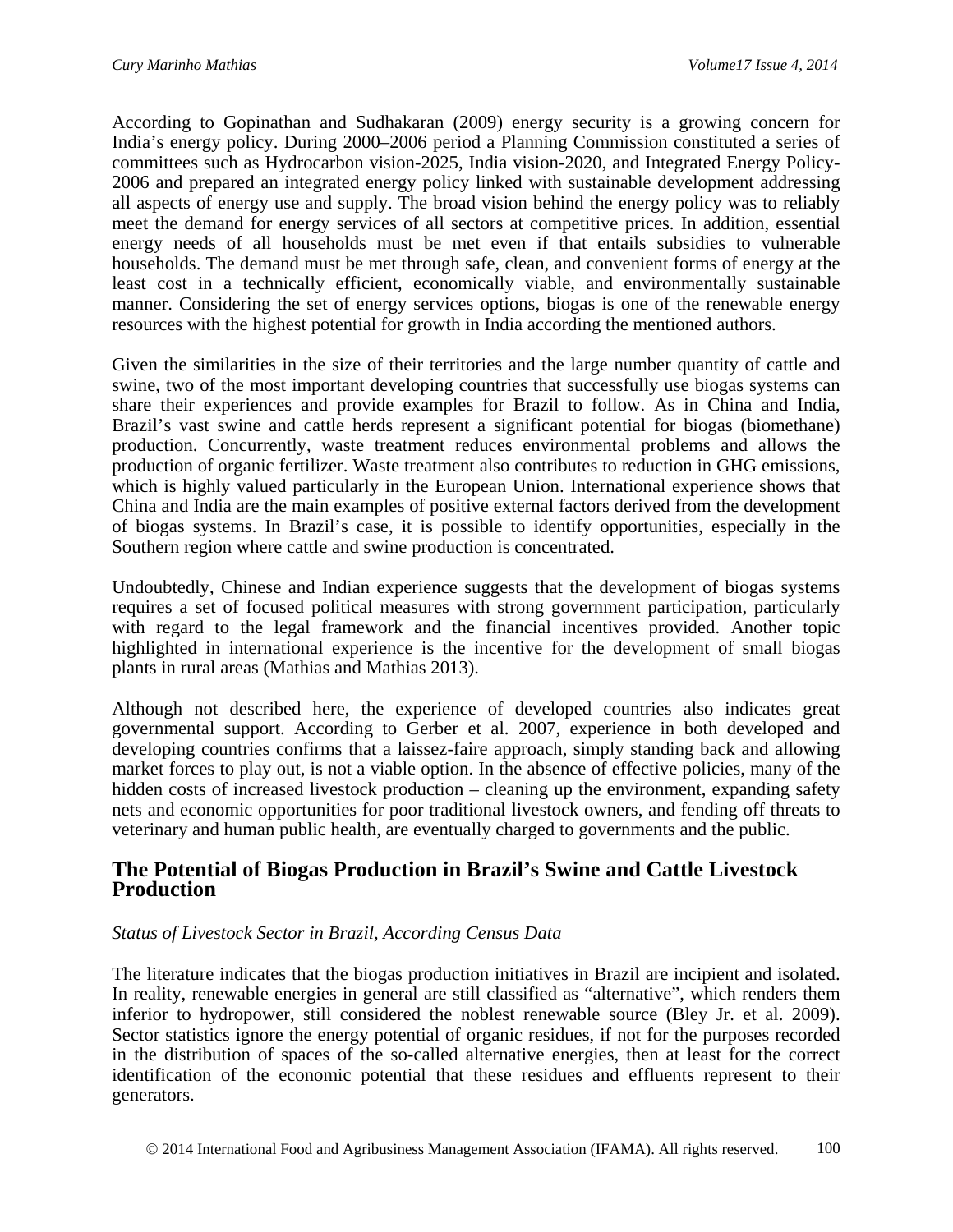According to Gopinathan and Sudhakaran (2009) energy security is a growing concern for India's energy policy. During 2000–2006 period a Planning Commission constituted a series of committees such as Hydrocarbon vision-2025, India vision-2020, and Integrated Energy Policy-2006 and prepared an integrated energy policy linked with sustainable development addressing all aspects of energy use and supply. The broad vision behind the energy policy was to reliably meet the demand for energy services of all sectors at competitive prices. In addition, essential energy needs of all households must be met even if that entails subsidies to vulnerable households. The demand must be met through safe, clean, and convenient forms of energy at the least cost in a technically efficient, economically viable, and environmentally sustainable manner. Considering the set of energy services options, biogas is one of the renewable energy resources with the highest potential for growth in India according the mentioned authors.

Given the similarities in the size of their territories and the large number quantity of cattle and swine, two of the most important developing countries that successfully use biogas systems can share their experiences and provide examples for Brazil to follow. As in China and India, Brazil's vast swine and cattle herds represent a significant potential for biogas (biomethane) production. Concurrently, waste treatment reduces environmental problems and allows the production of organic fertilizer. Waste treatment also contributes to reduction in GHG emissions, which is highly valued particularly in the European Union. International experience shows that China and India are the main examples of positive external factors derived from the development of biogas systems. In Brazil's case, it is possible to identify opportunities, especially in the Southern region where cattle and swine production is concentrated.

Undoubtedly, Chinese and Indian experience suggests that the development of biogas systems requires a set of focused political measures with strong government participation, particularly with regard to the legal framework and the financial incentives provided. Another topic highlighted in international experience is the incentive for the development of small biogas plants in rural areas (Mathias and Mathias 2013).

Although not described here, the experience of developed countries also indicates great governmental support. According to Gerber et al. 2007, experience in both developed and developing countries confirms that a laissez-faire approach, simply standing back and allowing market forces to play out, is not a viable option. In the absence of effective policies, many of the hidden costs of increased livestock production – cleaning up the environment, expanding safety nets and economic opportunities for poor traditional livestock owners, and fending off threats to veterinary and human public health, are eventually charged to governments and the public.

#### **The Potential of Biogas Production in Brazil's Swine and Cattle Livestock Production**

#### *Status of Livestock Sector in Brazil, According Census Data*

The literature indicates that the biogas production initiatives in Brazil are incipient and isolated. In reality, renewable energies in general are still classified as "alternative", which renders them inferior to hydropower, still considered the noblest renewable source (Bley Jr. et al. 2009). Sector statistics ignore the energy potential of organic residues, if not for the purposes recorded in the distribution of spaces of the so-called alternative energies, then at least for the correct identification of the economic potential that these residues and effluents represent to their generators.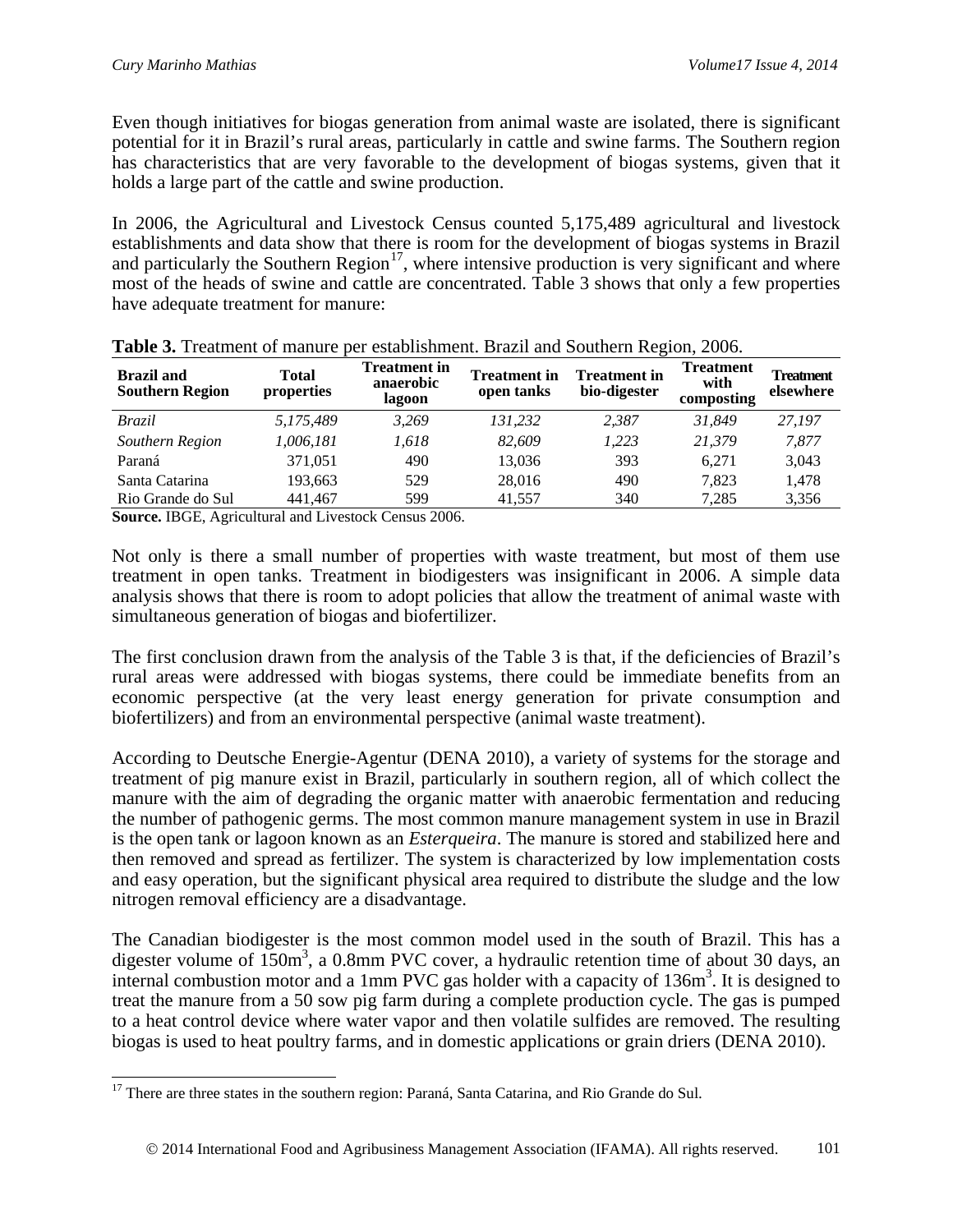Even though initiatives for biogas generation from animal waste are isolated, there is significant potential for it in Brazil's rural areas, particularly in cattle and swine farms. The Southern region has characteristics that are very favorable to the development of biogas systems, given that it holds a large part of the cattle and swine production.

In 2006, the Agricultural and Livestock Census counted 5,175,489 agricultural and livestock establishments and data show that there is room for the development of biogas systems in Brazil and particularly the Southern Region<sup>[17](#page-14-0)</sup>, where intensive production is very significant and where most of the heads of swine and cattle are concentrated. Table 3 shows that only a few properties have adequate treatment for manure:

| <b>Brazil</b> and<br><b>Southern Region</b> | Total<br>properties | <b>Treatment in</b><br>anaerobic<br>lagoon | <b>Treatment</b> in<br>open tanks | <b>Treatment in</b><br>bio-digester | <b>Treatment</b><br>with<br>composting | <b>Treatment</b><br>elsewhere |
|---------------------------------------------|---------------------|--------------------------------------------|-----------------------------------|-------------------------------------|----------------------------------------|-------------------------------|
| <i>Brazil</i>                               | 5,175,489           | 3.269                                      | 131.232                           | 2,387                               | 31.849                                 | 27.197                        |
| Southern Region                             | 1.006.181           | 1.618                                      | 82,609                            | 1,223                               | 21.379                                 | 7,877                         |
| Paraná                                      | 371,051             | 490                                        | 13,036                            | 393                                 | 6.271                                  | 3,043                         |
| Santa Catarina                              | 193,663             | 529                                        | 28,016                            | 490                                 | 7.823                                  | 1,478                         |
| Rio Grande do Sul                           | 441.467             | 599                                        | 41.557                            | 340                                 | 7,285                                  | 3,356                         |

|  |  | Table 3. Treatment of manure per establishment. Brazil and Southern Region, 2006. |  |  |  |
|--|--|-----------------------------------------------------------------------------------|--|--|--|
|  |  |                                                                                   |  |  |  |

**Source.** IBGE, Agricultural and Livestock Census 2006.

Not only is there a small number of properties with waste treatment, but most of them use treatment in open tanks. Treatment in biodigesters was insignificant in 2006. A simple data analysis shows that there is room to adopt policies that allow the treatment of animal waste with simultaneous generation of biogas and biofertilizer.

The first conclusion drawn from the analysis of the Table 3 is that, if the deficiencies of Brazil's rural areas were addressed with biogas systems, there could be immediate benefits from an economic perspective (at the very least energy generation for private consumption and biofertilizers) and from an environmental perspective (animal waste treatment).

According to Deutsche Energie-Agentur (DENA 2010), a variety of systems for the storage and treatment of pig manure exist in Brazil, particularly in southern region, all of which collect the manure with the aim of degrading the organic matter with anaerobic fermentation and reducing the number of pathogenic germs. The most common manure management system in use in Brazil is the open tank or lagoon known as an *Esterqueira*. The manure is stored and stabilized here and then removed and spread as fertilizer. The system is characterized by low implementation costs and easy operation, but the significant physical area required to distribute the sludge and the low nitrogen removal efficiency are a disadvantage.

The Canadian biodigester is the most common model used in the south of Brazil. This has a digester volume of  $150m^3$ , a 0.8mm PVC cover, a hydraulic retention time of about 30 days, an internal combustion motor and a 1mm PVC gas holder with a capacity of  $136m<sup>3</sup>$ . It is designed to treat the manure from a 50 sow pig farm during a complete production cycle. The gas is pumped to a heat control device where water vapor and then volatile sulfides are removed. The resulting biogas is used to heat poultry farms, and in domestic applications or grain driers (DENA 2010).

<span id="page-14-0"></span><sup>&</sup>lt;sup>17</sup> There are three states in the southern region: Paraná, Santa Catarina, and Rio Grande do Sul.  $\overline{a}$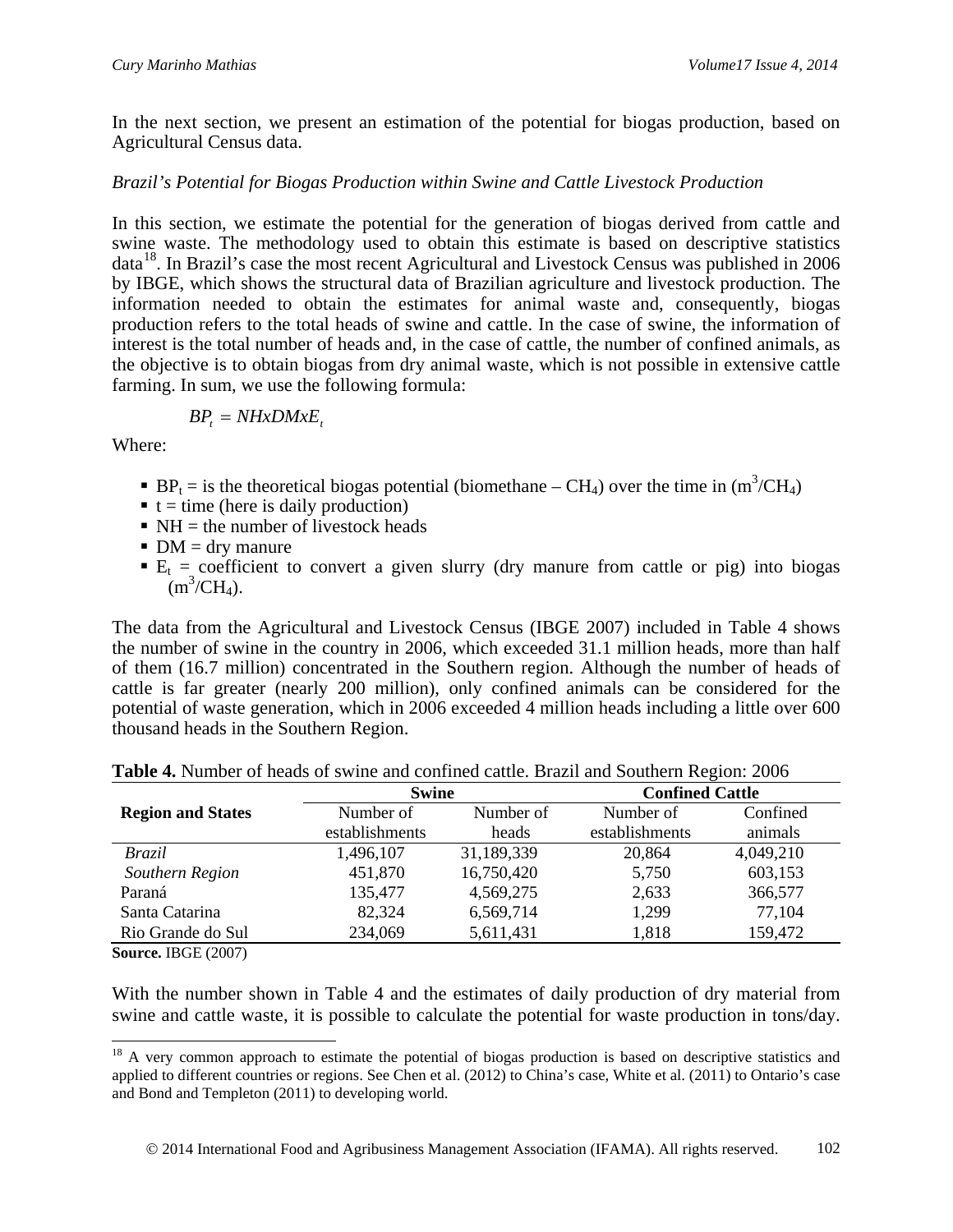In the next section, we present an estimation of the potential for biogas production, based on Agricultural Census data.

#### *Brazil's Potential for Biogas Production within Swine and Cattle Livestock Production*

In this section, we estimate the potential for the generation of biogas derived from cattle and swine waste. The methodology used to obtain this estimate is based on descriptive statistics data<sup>18</sup>. In Brazil's case the most recent Agricultural and Livestock Census was published in 2006 by IBGE, which shows the structural data of Brazilian agriculture and livestock production. The information needed to obtain the estimates for animal waste and, consequently, biogas production refers to the total heads of swine and cattle. In the case of swine, the information of interest is the total number of heads and, in the case of cattle, the number of confined animals, as the objective is to obtain biogas from dry animal waste, which is not possible in extensive cattle farming. In sum, we use the following formula:

$$
BP_t = NHxDMxE_t
$$

Where:

- **B**P<sub>t</sub> = is the theoretical biogas potential (biomethane CH<sub>4</sub>) over the time in  $(m^3/CH_4)$
- $\bullet$  t = time (here is daily production)
- $\blacksquare$  NH = the number of livestock heads
- $\blacksquare$  DM = drv manure
- $E_t$  = coefficient to convert a given slurry (dry manure from cattle or pig) into biogas  $(m^3/CH_4)$ .

The data from the Agricultural and Livestock Census (IBGE 2007) included in Table 4 shows the number of swine in the country in 2006, which exceeded 31.1 million heads, more than half of them (16.7 million) concentrated in the Southern region. Although the number of heads of cattle is far greater (nearly 200 million), only confined animals can be considered for the potential of waste generation, which in 2006 exceeded 4 million heads including a little over 600 thousand heads in the Southern Region.

|                          | <b>Swine</b>   |            | <b>Confined Cattle</b> |           |
|--------------------------|----------------|------------|------------------------|-----------|
| <b>Region and States</b> | Number of      | Number of  | Number of              | Confined  |
|                          | establishments | heads      | establishments         | animals   |
| <i>Brazil</i>            | 1,496,107      | 31,189,339 | 20,864                 | 4,049,210 |
| Southern Region          | 451,870        | 16,750,420 | 5,750                  | 603,153   |
| Paraná                   | 135,477        | 4,569,275  | 2,633                  | 366,577   |
| Santa Catarina           | 82,324         | 6,569,714  | 1,299                  | 77,104    |
| Rio Grande do Sul        | 234,069        | 5,611,431  | 1,818                  | 159,472   |

**Table 4.** Number of heads of swine and confined cattle. Brazil and Southern Region: 2006

**Source.** IBGE (2007)

With the number shown in Table 4 and the estimates of daily production of dry material from swine and cattle waste, it is possible to calculate the potential for waste production in tons/day.

<span id="page-15-0"></span><sup>&</sup>lt;sup>18</sup> A very common approach to estimate the potential of biogas production is based on descriptive statistics and applied to different countries or regions. See Chen et al. (2012) to China's case, White et al. (2011) to Ontario's case and Bond and Templeton (2011) to developing world.  $\overline{a}$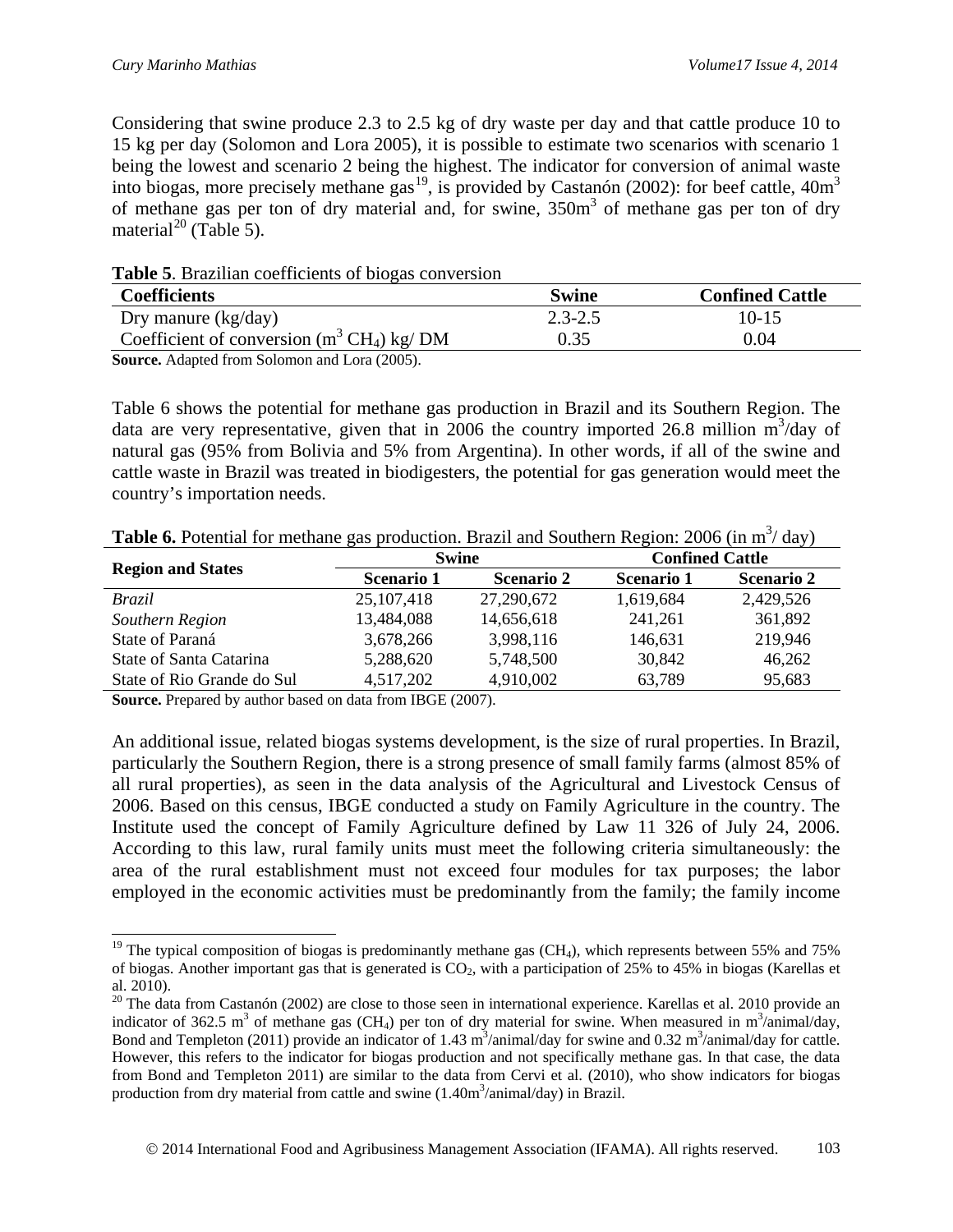Considering that swine produce 2.3 to 2.5 kg of dry waste per day and that cattle produce 10 to 15 kg per day (Solomon and Lora 2005), it is possible to estimate two scenarios with scenario 1 being the lowest and scenario 2 being the highest. The indicator for conversion of animal waste into biogas, more precisely methane gas<sup>[19](#page-16-0)</sup>, is provided by Castanón (2002): for beef cattle,  $40m<sup>3</sup>$ of methane gas per ton of dry material and, for swine,  $350m<sup>3</sup>$  of methane gas per ton of dry material<sup>[20](#page-16-1)</sup> (Table 5).

| Table 5. Brazilian coefficients of biogas conversion |  |  |
|------------------------------------------------------|--|--|
|------------------------------------------------------|--|--|

| <b>Coefficients</b>                                               | <b>Swine</b> | <b>Confined Cattle</b> |
|-------------------------------------------------------------------|--------------|------------------------|
| Dry manure $(kg/day)$                                             | $2.3 - 2.5$  | 10-15                  |
| Coefficient of conversion $(m^3 CH_4)$ kg/DM                      | 0.35         | 0.04                   |
| $\alpha$ $\mu$ $\mu$ $\alpha$ $\alpha$ $\alpha$ $\alpha$ $\alpha$ |              |                        |

**Source.** Adapted from Solomon and Lora (2005).

Table 6 shows the potential for methane gas production in Brazil and its Southern Region. The data are very representative, given that in 2006 the country imported 26.8 million  $m^3/day$  of natural gas (95% from Bolivia and 5% from Argentina). In other words, if all of the swine and cattle waste in Brazil was treated in biodigesters, the potential for gas generation would meet the country's importation needs.

|  | <b>Table 6.</b> Potential for methane gas production. Brazil and Southern Region: 2006 (in $m^3/day$ ) |
|--|--------------------------------------------------------------------------------------------------------|
|  |                                                                                                        |

|                            | <b>Swine</b>      |                   | <b>Confined Cattle</b> |                   |  |
|----------------------------|-------------------|-------------------|------------------------|-------------------|--|
| <b>Region and States</b>   | <b>Scenario 1</b> | <b>Scenario 2</b> | Scenario 1             | <b>Scenario 2</b> |  |
| <b>Brazil</b>              | 25, 107, 418      | 27,290,672        | 1,619,684              | 2,429,526         |  |
| Southern Region            | 13,484,088        | 14,656,618        | 241,261                | 361,892           |  |
| State of Paraná            | 3,678,266         | 3,998,116         | 146,631                | 219,946           |  |
| State of Santa Catarina    | 5,288,620         | 5,748,500         | 30,842                 | 46,262            |  |
| State of Rio Grande do Sul | 4,517,202         | 4,910,002         | 63,789                 | 95,683            |  |

**Source.** Prepared by author based on data from IBGE (2007).

An additional issue, related biogas systems development, is the size of rural properties. In Brazil, particularly the Southern Region, there is a strong presence of small family farms (almost 85% of all rural properties), as seen in the data analysis of the Agricultural and Livestock Census of 2006. Based on this census, IBGE conducted a study on Family Agriculture in the country. The Institute used the concept of Family Agriculture defined by Law 11 326 of July 24, 2006. According to this law, rural family units must meet the following criteria simultaneously: the area of the rural establishment must not exceed four modules for tax purposes; the labor employed in the economic activities must be predominantly from the family; the family income

<span id="page-16-0"></span><sup>&</sup>lt;sup>19</sup> The typical composition of biogas is predominantly methane gas (CH<sub>4</sub>), which represents between 55% and 75% of biogas. Another important gas that is generated is  $CO<sub>2</sub>$ , with a participation of 25% to 45% in biogas (Karellas et al. 2010).  $\overline{a}$ 

<span id="page-16-1"></span><sup>&</sup>lt;sup>20</sup> The data from Castanón (2002) are close to those seen in international experience. Karellas et al. 2010 provide an indicator of 362.5 m<sup>3</sup> of methane gas (CH<sub>4</sub>) per ton of dry material for swine. When measured in m<sup>3</sup>/animal/day, Bond and Templeton (2011) provide an indicator of 1.43  $\text{m}^3$ /animal/day for swine and 0.32 m<sup>3</sup>/animal/day for cattle. However, this refers to the indicator for biogas production and not specifically methane gas. In that case, the data from Bond and Templeton 2011) are similar to the data from Cervi et al. (2010), who show indicators for biogas production from dry material from cattle and swine (1.40m<sup>3</sup>/animal/day) in Brazil.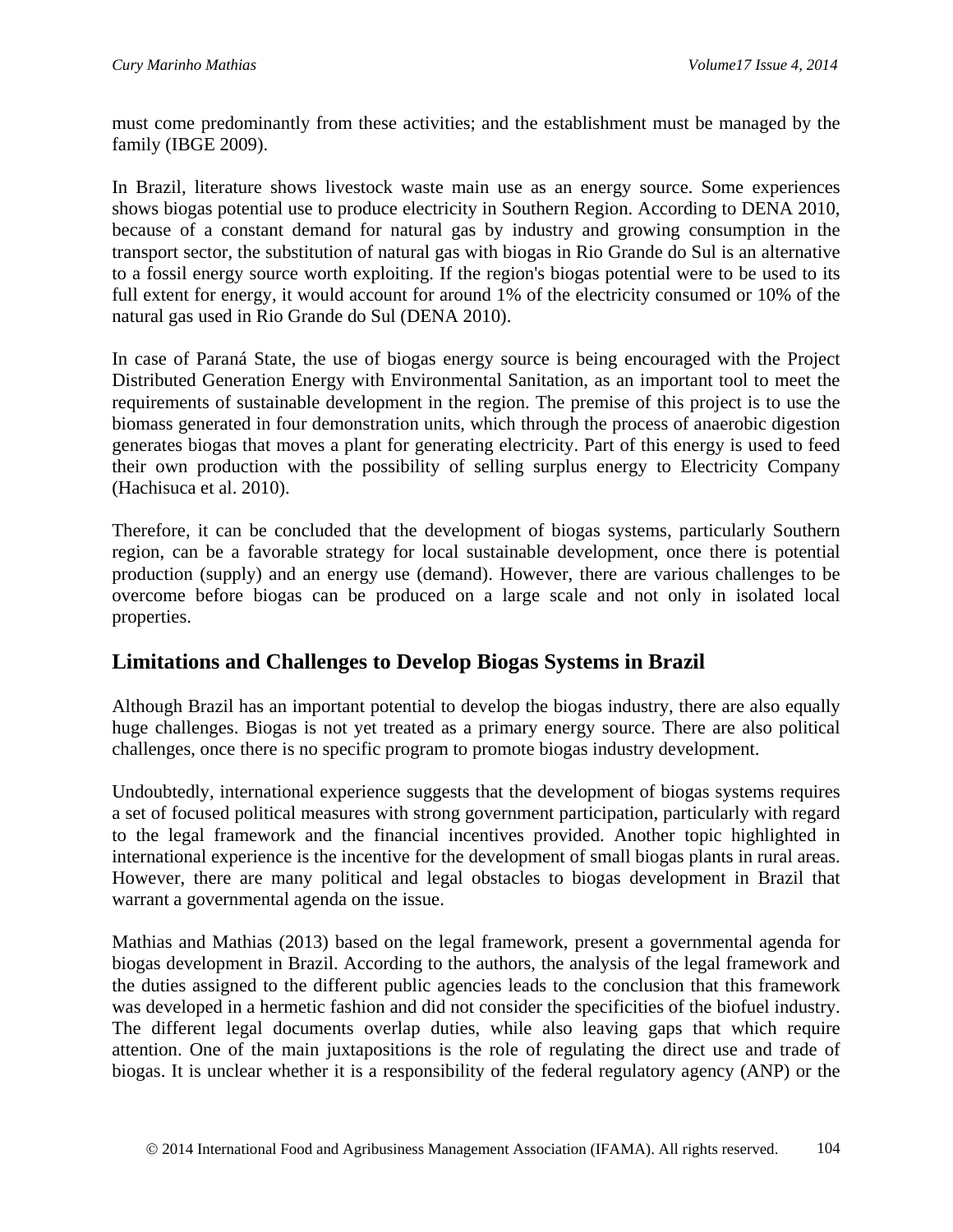must come predominantly from these activities; and the establishment must be managed by the family (IBGE 2009).

In Brazil, literature shows livestock waste main use as an energy source. Some experiences shows biogas potential use to produce electricity in Southern Region. According to DENA 2010, because of a constant demand for natural gas by industry and growing consumption in the transport sector, the substitution of natural gas with biogas in Rio Grande do Sul is an alternative to a fossil energy source worth exploiting. If the region's biogas potential were to be used to its full extent for energy, it would account for around 1% of the electricity consumed or 10% of the natural gas used in Rio Grande do Sul (DENA 2010).

In case of Paraná State, the use of biogas energy source is being encouraged with the Project Distributed Generation Energy with Environmental Sanitation, as an important tool to meet the requirements of sustainable development in the region. The premise of this project is to use the biomass generated in four demonstration units, which through the process of anaerobic digestion generates biogas that moves a plant for generating electricity. Part of this energy is used to feed their own production with the possibility of selling surplus energy to Electricity Company (Hachisuca et al. 2010).

Therefore, it can be concluded that the development of biogas systems, particularly Southern region, can be a favorable strategy for local sustainable development, once there is potential production (supply) and an energy use (demand). However, there are various challenges to be overcome before biogas can be produced on a large scale and not only in isolated local properties.

## **Limitations and Challenges to Develop Biogas Systems in Brazil**

Although Brazil has an important potential to develop the biogas industry, there are also equally huge challenges. Biogas is not yet treated as a primary energy source. There are also political challenges, once there is no specific program to promote biogas industry development.

Undoubtedly, international experience suggests that the development of biogas systems requires a set of focused political measures with strong government participation, particularly with regard to the legal framework and the financial incentives provided. Another topic highlighted in international experience is the incentive for the development of small biogas plants in rural areas. However, there are many political and legal obstacles to biogas development in Brazil that warrant a governmental agenda on the issue.

Mathias and Mathias (2013) based on the legal framework, present a governmental agenda for biogas development in Brazil. According to the authors, the analysis of the legal framework and the duties assigned to the different public agencies leads to the conclusion that this framework was developed in a hermetic fashion and did not consider the specificities of the biofuel industry. The different legal documents overlap duties, while also leaving gaps that which require attention. One of the main juxtapositions is the role of regulating the direct use and trade of biogas. It is unclear whether it is a responsibility of the federal regulatory agency (ANP) or the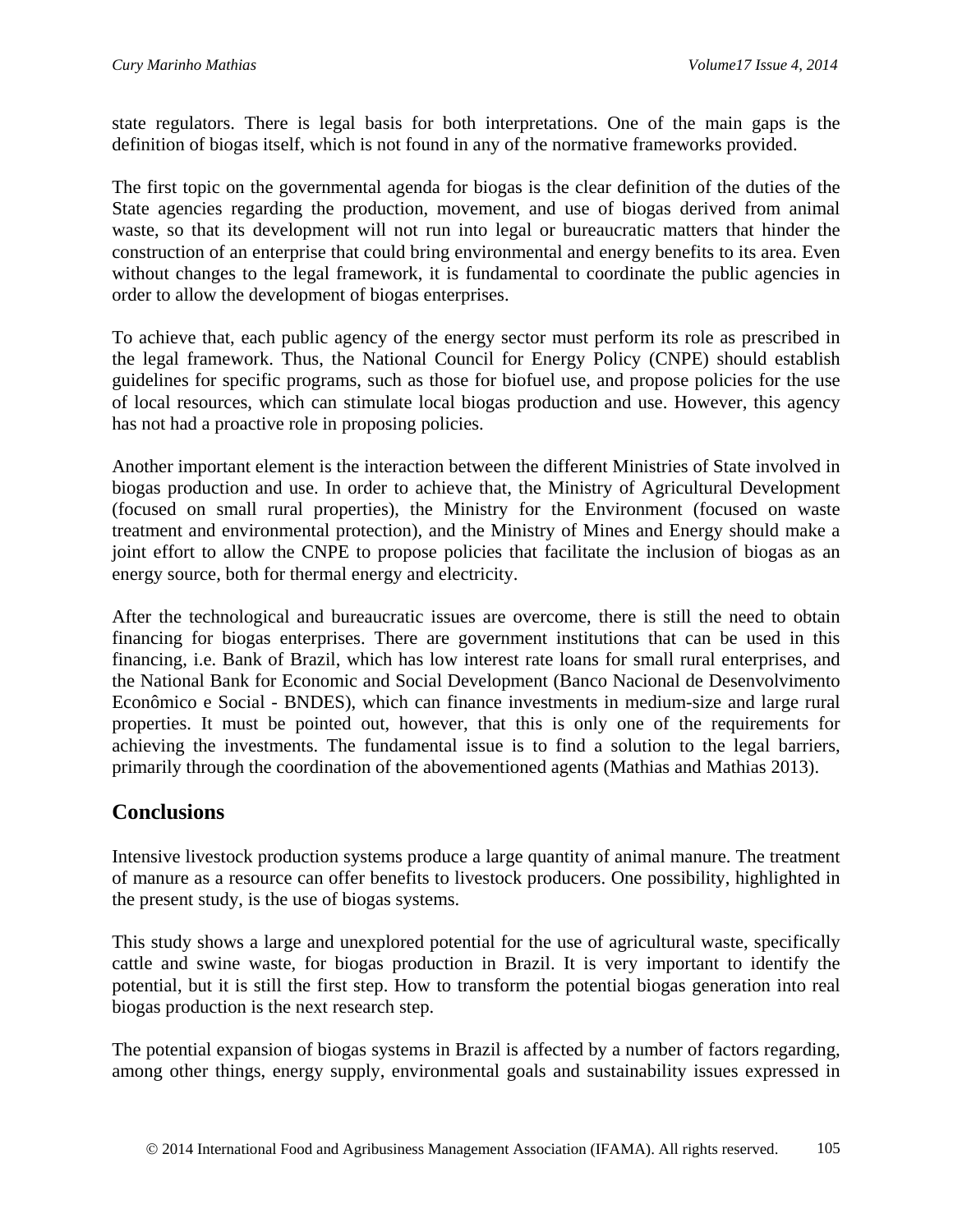state regulators. There is legal basis for both interpretations. One of the main gaps is the definition of biogas itself, which is not found in any of the normative frameworks provided.

The first topic on the governmental agenda for biogas is the clear definition of the duties of the State agencies regarding the production, movement, and use of biogas derived from animal waste, so that its development will not run into legal or bureaucratic matters that hinder the construction of an enterprise that could bring environmental and energy benefits to its area. Even without changes to the legal framework, it is fundamental to coordinate the public agencies in order to allow the development of biogas enterprises.

To achieve that, each public agency of the energy sector must perform its role as prescribed in the legal framework. Thus, the National Council for Energy Policy (CNPE) should establish guidelines for specific programs, such as those for biofuel use, and propose policies for the use of local resources, which can stimulate local biogas production and use. However, this agency has not had a proactive role in proposing policies.

Another important element is the interaction between the different Ministries of State involved in biogas production and use. In order to achieve that, the Ministry of Agricultural Development (focused on small rural properties), the Ministry for the Environment (focused on waste treatment and environmental protection), and the Ministry of Mines and Energy should make a joint effort to allow the CNPE to propose policies that facilitate the inclusion of biogas as an energy source, both for thermal energy and electricity.

After the technological and bureaucratic issues are overcome, there is still the need to obtain financing for biogas enterprises. There are government institutions that can be used in this financing, i.e. Bank of Brazil, which has low interest rate loans for small rural enterprises, and the National Bank for Economic and Social Development (Banco Nacional de Desenvolvimento Econômico e Social - BNDES), which can finance investments in medium-size and large rural properties. It must be pointed out, however, that this is only one of the requirements for achieving the investments. The fundamental issue is to find a solution to the legal barriers, primarily through the coordination of the abovementioned agents (Mathias and Mathias 2013).

## **Conclusions**

Intensive livestock production systems produce a large quantity of animal manure. The treatment of manure as a resource can offer benefits to livestock producers. One possibility, highlighted in the present study, is the use of biogas systems.

This study shows a large and unexplored potential for the use of agricultural waste, specifically cattle and swine waste, for biogas production in Brazil. It is very important to identify the potential, but it is still the first step. How to transform the potential biogas generation into real biogas production is the next research step.

The potential expansion of biogas systems in Brazil is affected by a number of factors regarding, among other things, energy supply, environmental goals and sustainability issues expressed in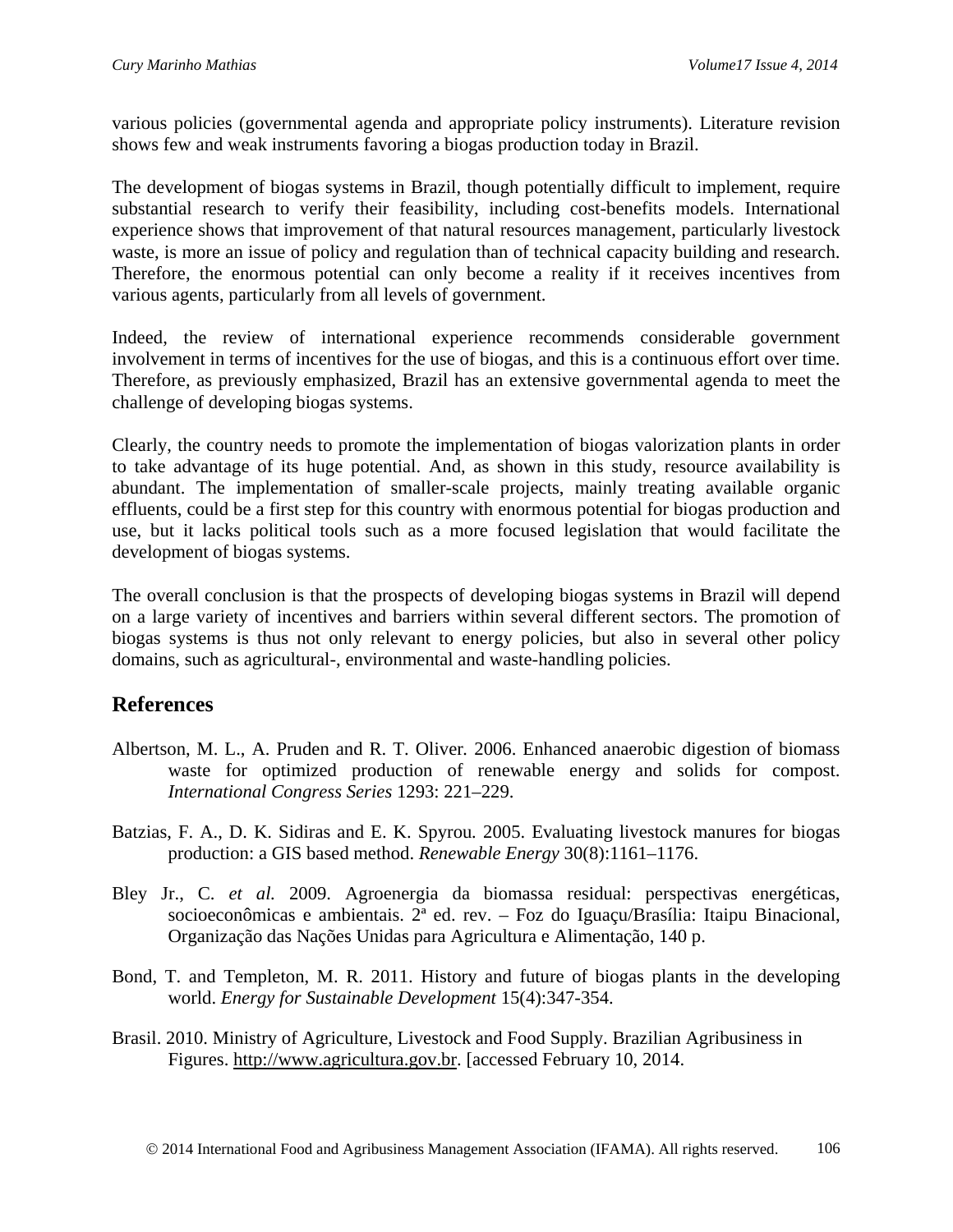various policies (governmental agenda and appropriate policy instruments). Literature revision shows few and weak instruments favoring a biogas production today in Brazil.

The development of biogas systems in Brazil, though potentially difficult to implement, require substantial research to verify their feasibility, including cost-benefits models. International experience shows that improvement of that natural resources management, particularly livestock waste, is more an issue of policy and regulation than of technical capacity building and research. Therefore, the enormous potential can only become a reality if it receives incentives from various agents, particularly from all levels of government.

Indeed, the review of international experience recommends considerable government involvement in terms of incentives for the use of biogas, and this is a continuous effort over time. Therefore, as previously emphasized, Brazil has an extensive governmental agenda to meet the challenge of developing biogas systems.

Clearly, the country needs to promote the implementation of biogas valorization plants in order to take advantage of its huge potential. And, as shown in this study, resource availability is abundant. The implementation of smaller-scale projects, mainly treating available organic effluents, could be a first step for this country with enormous potential for biogas production and use, but it lacks political tools such as a more focused legislation that would facilitate the development of biogas systems.

The overall conclusion is that the prospects of developing biogas systems in Brazil will depend on a large variety of incentives and barriers within several different sectors. The promotion of biogas systems is thus not only relevant to energy policies, but also in several other policy domains, such as agricultural-, environmental and waste-handling policies.

## **References**

- Albertson, M. L., A. Pruden and R. T. Oliver*.* 2006. Enhanced anaerobic digestion of biomass waste for optimized production of renewable energy and solids for compost. *International Congress Series* 1293: 221–229.
- Batzias, F. A., D. K. Sidiras and E. K. Spyrou*.* 2005. Evaluating livestock manures for biogas production: a GIS based method. *Renewable Energy* 30(8):1161–1176.
- Bley Jr., C. *et al.* 2009. Agroenergia da biomassa residual: perspectivas energéticas, socioeconômicas e ambientais. 2ª ed. rev. – Foz do Iguaçu/Brasília: Itaipu Binacional, Organização das Nações Unidas para Agricultura e Alimentação, 140 p.
- Bond, T. and Templeton, M. R. 2011. History and future of biogas plants in the developing world. *Energy for Sustainable Development* 15(4):347-354.
- Brasil. 2010. Ministry of Agriculture, Livestock and Food Supply. Brazilian Agribusiness in Figures. [http://www.agricultura.gov.br.](http://www.agricultura.gov.br/arq_editor/file/Sala%20de%20Imprensa/Publica%C3%A7%C3%B5es/graficos_ingles.pdf) [accessed February 10, 2014.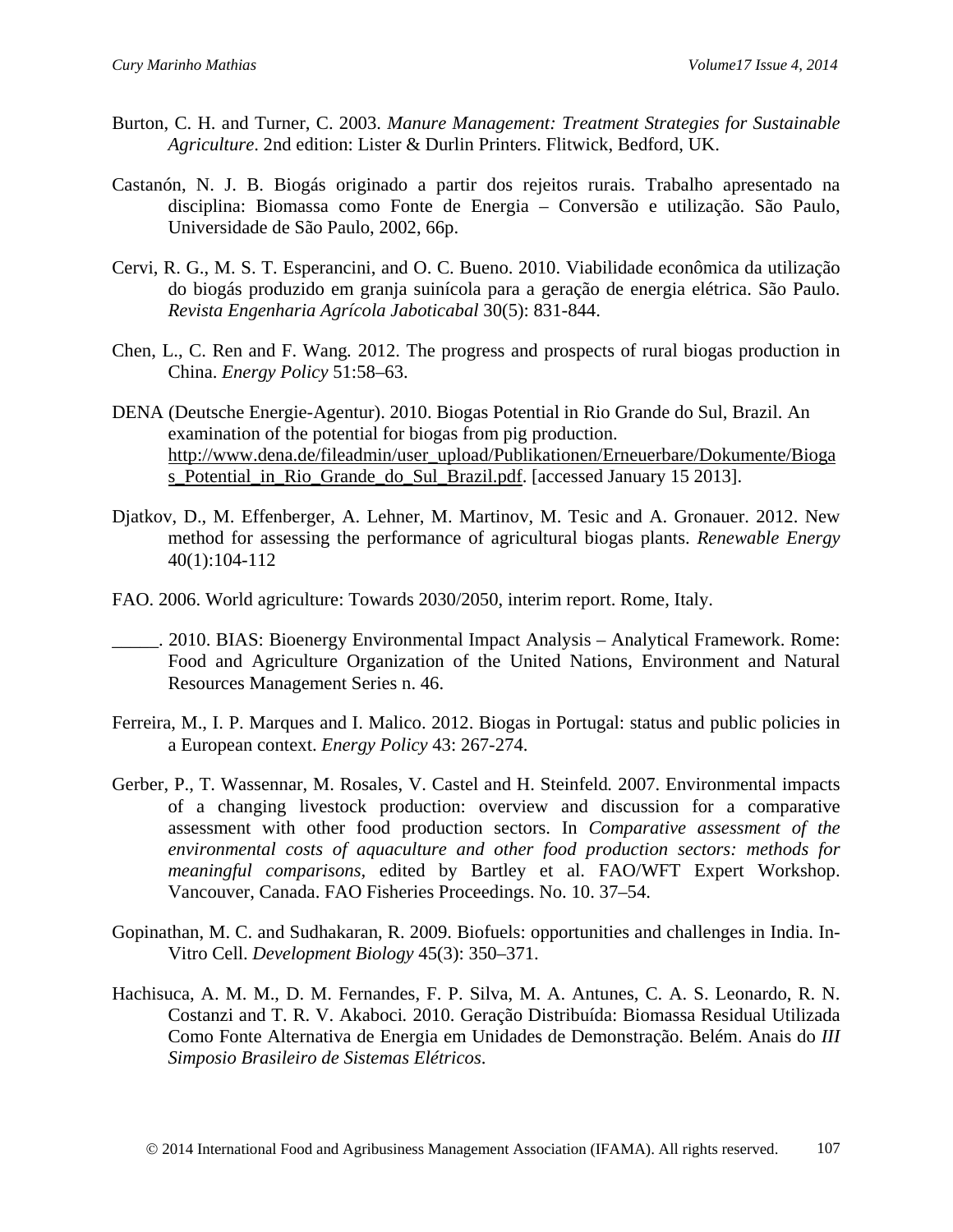- Burton, C. H. and Turner, C. 2003. *Manure Management: Treatment Strategies for Sustainable Agriculture*. 2nd edition: Lister & Durlin Printers. Flitwick, Bedford, UK.
- Castanón, N. J. B. Biogás originado a partir dos rejeitos rurais. Trabalho apresentado na disciplina: Biomassa como Fonte de Energia – Conversão e utilização. São Paulo, Universidade de São Paulo, 2002, 66p.
- Cervi, R. G., M. S. T. Esperancini, and O. C. Bueno. 2010. Viabilidade econômica da utilização do biogás produzido em granja suinícola para a geração de energia elétrica. São Paulo. *Revista Engenharia Agrícola Jaboticabal* 30(5): 831-844.
- Chen, L., C. Ren and F. Wang*.* 2012. The progress and prospects of rural biogas production in China. *Energy Policy* 51:58–63.
- DENA (Deutsche Energie-Agentur). 2010. Biogas Potential in Rio Grande do Sul, Brazil. An examination of the potential for biogas from pig production. [http://www.dena.de/fileadmin/user\\_upload/Publikationen/Erneuerbare/Dokumente/Bioga](http://www.dena.de/fileadmin/user_upload/Publikationen/Erneuerbare/Dokumente/Biogas_Potential_in_Rio_Grande_do_Sul_Brazil.pdf) [s\\_Potential\\_in\\_Rio\\_Grande\\_do\\_Sul\\_Brazil.pdf.](http://www.dena.de/fileadmin/user_upload/Publikationen/Erneuerbare/Dokumente/Biogas_Potential_in_Rio_Grande_do_Sul_Brazil.pdf) [accessed January 15 2013].
- Djatkov, D., M. Effenberger, A. Lehner, M. Martinov, M. Tesic and A. Gronauer. 2012. New method for assessing the performance of agricultural biogas plants. *Renewable Energy* 40(1):104-112
- FAO. 2006. World agriculture: Towards 2030/2050, interim report. Rome, Italy.
- \_\_\_\_\_. 2010. BIAS: Bioenergy Environmental Impact Analysis Analytical Framework. Rome: Food and Agriculture Organization of the United Nations, Environment and Natural Resources Management Series n. 46.
- Ferreira, M., I. P. Marques and I. Malico. 2012. Biogas in Portugal: status and public policies in a European context. *Energy Policy* 43: 267-274.
- Gerber, P., T. Wassennar, M. Rosales, V. Castel and H. Steinfeld*.* 2007. Environmental impacts of a changing livestock production: overview and discussion for a comparative assessment with other food production sectors. In *Comparative assessment of the environmental costs of aquaculture and other food production sectors: methods for meaningful comparisons,* edited by Bartley et al. FAO/WFT Expert Workshop. Vancouver, Canada. FAO Fisheries Proceedings. No. 10. 37–54.
- Gopinathan, M. C. and Sudhakaran, R. 2009. Biofuels: opportunities and challenges in India. In-Vitro Cell. *Development Biology* 45(3): 350–371.
- Hachisuca, A. M. M., D. M. Fernandes, F. P. Silva, M. A. Antunes, C. A. S. Leonardo, R. N. Costanzi and T. R. V. Akaboci*.* 2010. Geração Distribuída: Biomassa Residual Utilizada Como Fonte Alternativa de Energia em Unidades de Demonstração. Belém. Anais do *III Simposio Brasileiro de Sistemas Elétricos*.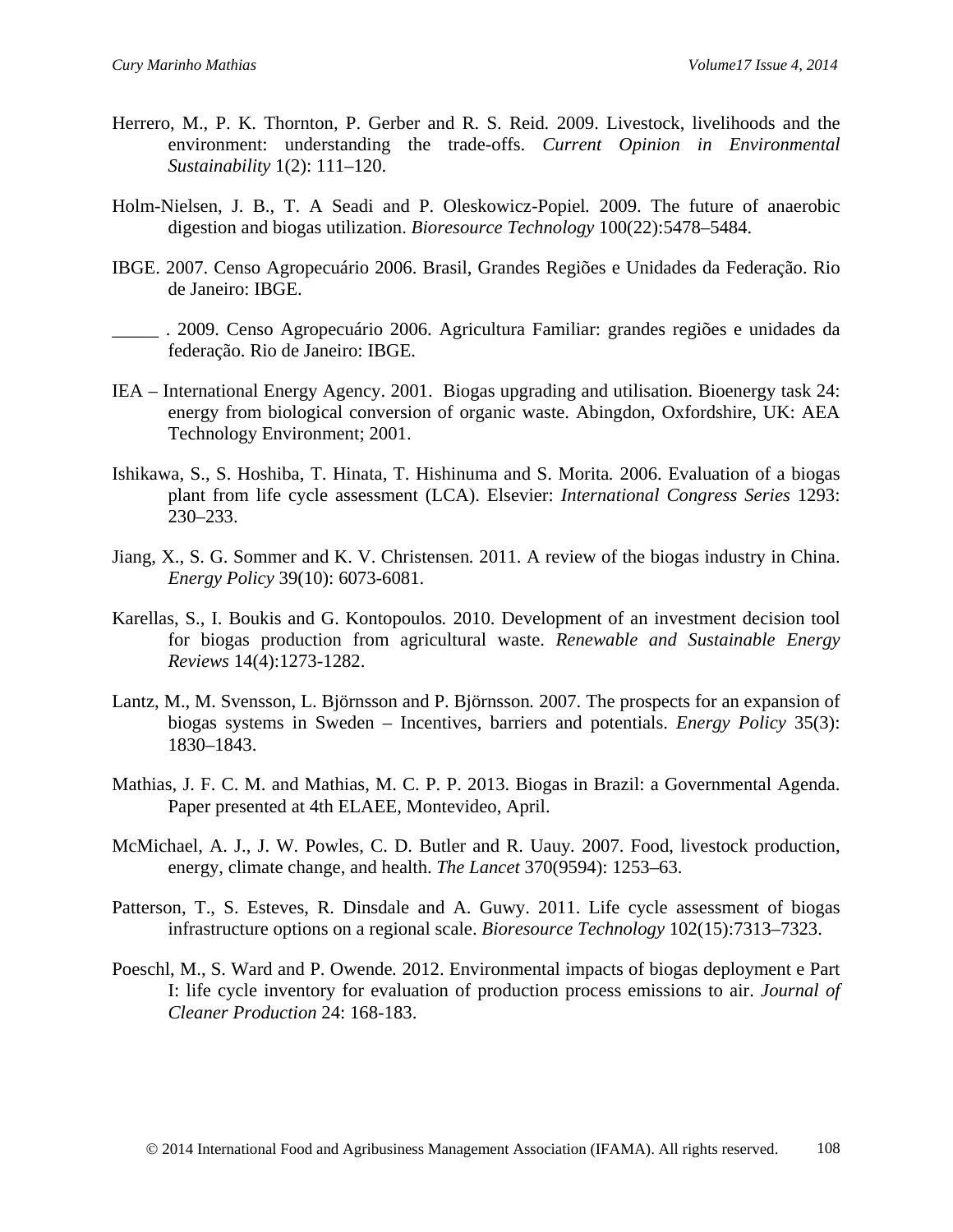- Herrero, M., P. K. Thornton, P. Gerber and R. S. Reid*.* 2009. Livestock, livelihoods and the environment: understanding the trade-offs. *Current Opinion in Environmental Sustainability* 1(2): 111–120.
- Holm-Nielsen, J. B., T. A Seadi and P. Oleskowicz-Popiel*.* 2009. The future of anaerobic digestion and biogas utilization. *Bioresource Technology* 100(22):5478–5484.
- IBGE. 2007. Censo Agropecuário 2006. Brasil, Grandes Regiões e Unidades da Federação. Rio de Janeiro: IBGE.
- \_\_\_\_\_ . 2009. Censo Agropecuário 2006. Agricultura Familiar: grandes regiões e unidades da federação. Rio de Janeiro: IBGE.
- IEA International Energy Agency. 2001. Biogas upgrading and utilisation. Bioenergy task 24: energy from biological conversion of organic waste. Abingdon, Oxfordshire, UK: AEA Technology Environment; 2001.
- Ishikawa, S., S. Hoshiba, T. Hinata, T. Hishinuma and S. Morita*.* 2006. Evaluation of a biogas plant from life cycle assessment (LCA). Elsevier: *International Congress Series* 1293: 230–233.
- Jiang, X., S. G. Sommer and K. V. Christensen*.* 2011. A review of the biogas industry in China. *Energy Policy* 39(10): 6073-6081.
- Karellas, S., I. Boukis and G. Kontopoulos*.* 2010. Development of an investment decision tool for biogas production from agricultural waste. *Renewable and Sustainable Energy Reviews* 14(4):1273-1282.
- Lantz, M., M. Svensson, L. Björnsson and P. Björnsson*.* 2007. The prospects for an expansion of biogas systems in Sweden – Incentives, barriers and potentials. *Energy Policy* 35(3): 1830–1843.
- Mathias, J. F. C. M. and Mathias, M. C. P. P. 2013. Biogas in Brazil: a Governmental Agenda. Paper presented at 4th ELAEE, Montevideo, April.
- McMichael, A. J., J. W. Powles, C. D. Butler and R. Uauy*.* 2007. Food, livestock production, energy, climate change, and health. *The Lancet* 370(9594): 1253–63.
- Patterson, T., S. Esteves, R. Dinsdale and A. Guwy. 2011. Life cycle assessment of biogas infrastructure options on a regional scale. *Bioresource Technology* 102(15):7313–7323.
- Poeschl, M., S. Ward and P. Owende*.* 2012. Environmental impacts of biogas deployment e Part I: life cycle inventory for evaluation of production process emissions to air. *Journal of Cleaner Production* 24: 168-183.